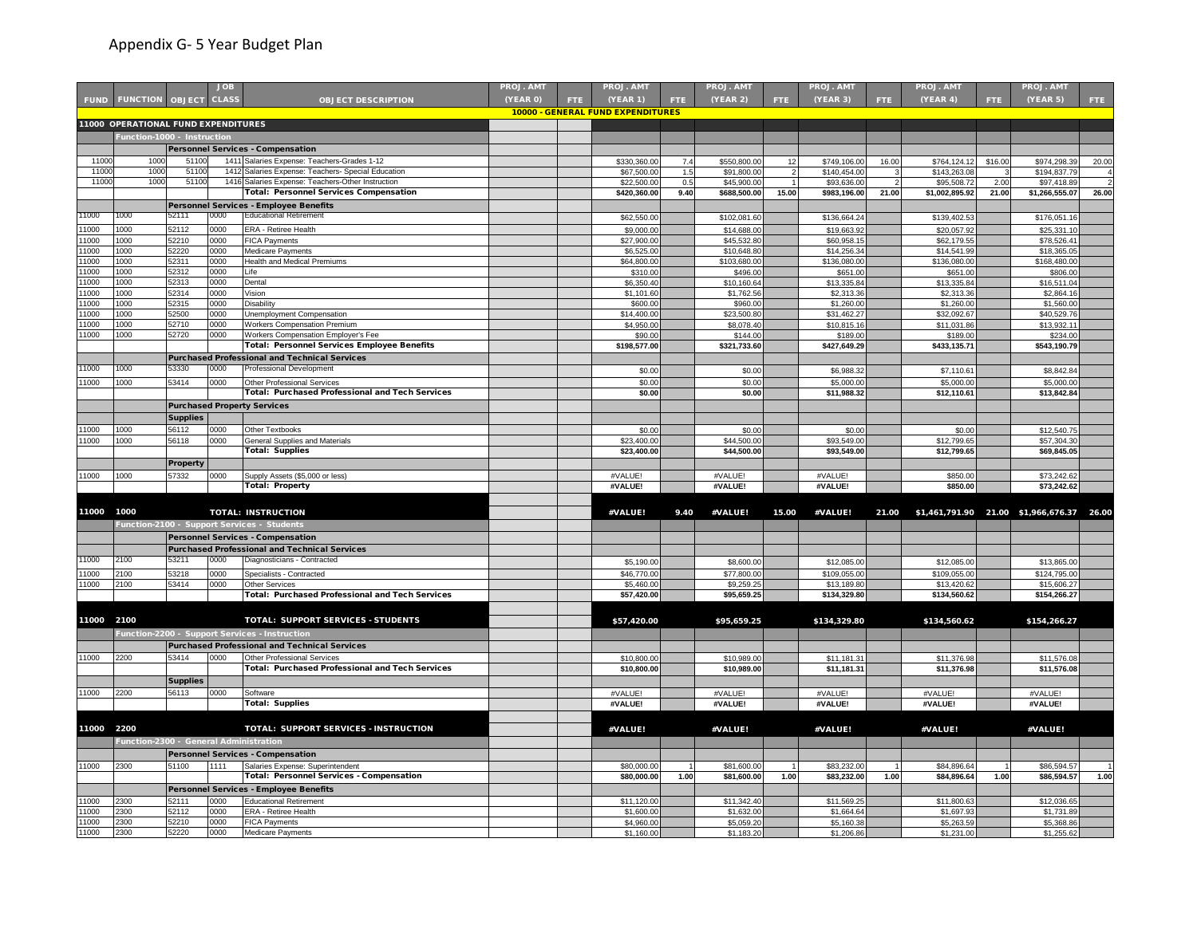|              |                                        |                 | <b>JOB</b>   |                                                                                                   | PROJ. AMT |      | PROJ. AM1                         |      | PROJ. AMT                   |            | PROJ. AMT                    |       | PROJ. AMT                    |         | PROJ. AMT                                 |       |
|--------------|----------------------------------------|-----------------|--------------|---------------------------------------------------------------------------------------------------|-----------|------|-----------------------------------|------|-----------------------------|------------|------------------------------|-------|------------------------------|---------|-------------------------------------------|-------|
|              | <b>FUND FUNCTION OBJECT</b>            |                 | <b>CLASS</b> | <b>OBJECT DESCRIPTION</b>                                                                         | (YEAR 0)  | FTE. | (YEAR 1)                          | FTE. | (YEAR 2)                    | <b>FTE</b> | (YEAR 3)                     | FTE.  | (YEAR 4)                     | FTE.    | (YEAR 5)                                  | FTE.  |
|              |                                        |                 |              |                                                                                                   |           |      | 10000 - GENERAL FUND EXPENDITURES |      |                             |            |                              |       |                              |         |                                           |       |
|              | 11000 OPERATIONAL FUND EXPENDITURES    |                 |              |                                                                                                   |           |      |                                   |      |                             |            |                              |       |                              |         |                                           |       |
|              | Function-1000 - Instruction            |                 |              |                                                                                                   |           |      |                                   |      |                             |            |                              |       |                              |         |                                           |       |
|              |                                        |                 |              | Personnel Services - Compensation                                                                 |           |      |                                   |      |                             |            |                              |       |                              |         |                                           |       |
| 1100         | 1000                                   | 51100           |              |                                                                                                   |           |      |                                   | 7.4  |                             |            |                              |       |                              |         | \$974.298.39                              | 20.00 |
| 1100         | 1000                                   | 5110            |              | 1411 Salaries Expense: Teachers-Grades 1-12<br>1412 Salaries Expense: Teachers- Special Education |           |      | \$330,360.00<br>\$67,500.00       | 1.5  | \$550,800.00<br>\$91,800.00 | 12         | \$749,106.00<br>\$140,454.00 | 16.00 | \$764,124.12<br>\$143,263.08 | \$16.00 |                                           |       |
| 1100         | 1000                                   | 51100           |              | 1416 Salaries Expense: Teachers-Other Instruction                                                 |           |      | \$22,500.00                       | 0.5  | \$45,900.00                 |            | \$93,636.00                  |       | \$95,508.72                  | 2.00    | \$194,837.79<br>\$97,418.89               |       |
|              |                                        |                 |              | <b>Total: Personnel Services Compensation</b>                                                     |           |      | \$420,360.00                      | 9.40 | \$688,500.00                | 15.00      | \$983,196.00                 | 21.00 | \$1,002,895.92               | 21.00   | \$1,266,555.07                            | 26.00 |
|              |                                        |                 |              | <b>Personnel Services - Employee Benefits</b>                                                     |           |      |                                   |      |                             |            |                              |       |                              |         |                                           |       |
| 1000         | 1000                                   | 52111           | 0000         | <b>Educational Retirement</b>                                                                     |           |      | \$62,550.00                       |      | \$102,081.60                |            | \$136,664.24                 |       | \$139,402.53                 |         | \$176,051.16                              |       |
| 1000         | 1000                                   | 52112           | 0000         | ERA - Retiree Health                                                                              |           |      | \$9,000.0                         |      |                             |            |                              |       |                              |         | \$25,331.10                               |       |
| 1000         | 1000                                   | 52210           | 0000         | <b>FICA Payments</b>                                                                              |           |      | \$27,900.00                       |      | \$14,688.0<br>\$45,532.8    |            | \$19,663.92                  |       | \$20,057.92<br>\$62,179.55   |         | \$78,526.41                               |       |
| 1000         | 1000                                   | 52220           | 0000         | Medicare Payments                                                                                 |           |      | \$6,525.00                        |      | \$10,648.80                 |            | \$60,958.15<br>\$14,256.34   |       | \$14,541.99                  |         | \$18,365.05                               |       |
| 1000         | 1000                                   | 52311           | 0000         | Health and Medical Premiums                                                                       |           |      | \$64,800.00                       |      | \$103,680.00                |            | \$136,080.00                 |       | \$136,080.00                 |         | \$168,480.00                              |       |
| 1000         | 1000                                   | 52312           | 0000         | Life                                                                                              |           |      | \$310.00                          |      | \$496.00                    |            | \$651.00                     |       | \$651.00                     |         | \$806.00                                  |       |
| 1000         | 1000                                   | 52313           | 0000         | Dental                                                                                            |           |      | \$6,350.40                        |      | \$10,160.64                 |            | \$13,335.84                  |       | \$13,335.84                  |         | \$16,511.04                               |       |
| 1000         | 1000                                   | 52314           | 0000         | Vision                                                                                            |           |      | \$1,101.60                        |      | \$1,762.56                  |            | \$2,313.36                   |       | \$2,313.3                    |         | \$2,864.16                                |       |
| 1000         | 1000                                   | 52315           | 0000         | Disability                                                                                        |           |      | \$600.00                          |      | \$960.00                    |            | \$1,260.00                   |       | \$1,260.00                   |         | \$1,560.00                                |       |
| 1000         | 1000                                   | 52500           | 0000         | Unemployment Compensation                                                                         |           |      | \$14,400.00                       |      | \$23,500.80                 |            | \$31,462.27                  |       | \$32,092.67                  |         | \$40,529.76                               |       |
| 1000         | 1000                                   | 52710           | 0000         | Workers Compensation Premium                                                                      |           |      | \$4,950.00                        |      | \$8,078.40                  |            | \$10,815.16                  |       | \$11,031.86                  |         | \$13,932.11                               |       |
| 1000         | 1000                                   | 52720           | 0000         | Workers Compensation Employer's Fee                                                               |           |      | \$90.00                           |      | \$144.00                    |            | \$189.00                     |       | \$189.00                     |         | \$234.00                                  |       |
|              |                                        |                 |              | <b>Total: Personnel Services Employee Benefits</b>                                                |           |      | \$198,577.00                      |      | \$321,733.60                |            | \$427,649.29                 |       | \$433,135.71                 |         | \$543,190.79                              |       |
|              |                                        |                 |              | <b>Purchased Professional and Technical Services</b>                                              |           |      |                                   |      |                             |            |                              |       |                              |         |                                           |       |
| 1000         | 1000                                   | 53330           | 0000         | Professional Developmen                                                                           |           |      | \$0.00                            |      | \$0.00                      |            | \$6,988.32                   |       | \$7,110.6                    |         | \$8,842.84                                |       |
| 11000        | 1000                                   | 53414           | 0000         | Other Professional Services                                                                       |           |      | \$0.00                            |      | \$0.0                       |            | \$5,000.00                   |       | \$5,000.0                    |         | \$5,000.00                                |       |
|              |                                        |                 |              | <b>Total: Purchased Professional and Tech Services</b>                                            |           |      | \$0.00                            |      | \$0.00                      |            | \$11,988.32                  |       | \$12,110.61                  |         | \$13,842.84                               |       |
|              |                                        |                 |              | <b>Purchased Property Services</b>                                                                |           |      |                                   |      |                             |            |                              |       |                              |         |                                           |       |
|              |                                        | <b>Supplies</b> |              |                                                                                                   |           |      |                                   |      |                             |            |                              |       |                              |         |                                           |       |
| 1000         | 1000                                   | 56112           | 0000         | Other Textbooks                                                                                   |           |      | \$0.00                            |      | \$0.00                      |            | \$0.00                       |       | \$0.00                       |         | \$12,540.75                               |       |
| 11000        | 1000                                   | 56118           | 0000         | General Supplies and Materials                                                                    |           |      | \$23,400.00                       |      | \$44,500.00                 |            | \$93,549.00                  |       | \$12,799.65                  |         | \$57,304.30                               |       |
|              |                                        |                 |              | <b>Total: Supplies</b>                                                                            |           |      | \$23,400.00                       |      | \$44,500.00                 |            | \$93,549.00                  |       | \$12,799.65                  |         | \$69,845.05                               |       |
|              |                                        | Property        |              |                                                                                                   |           |      |                                   |      |                             |            |                              |       |                              |         |                                           |       |
| 1000         | 1000                                   | 57332           | 0000         | Supply Assets (\$5,000 or less)                                                                   |           |      | #VALUE!                           |      | #VALUE!                     |            | #VALUE!                      |       | \$850.00                     |         | \$73,242.62                               |       |
|              |                                        |                 |              | <b>Total: Property</b>                                                                            |           |      | #VALUE!                           |      | #VALUE!                     |            | #VALUE!                      |       | \$850.00                     |         | \$73,242.62                               |       |
|              |                                        |                 |              |                                                                                                   |           |      |                                   |      |                             |            |                              |       |                              |         |                                           |       |
|              |                                        |                 |              |                                                                                                   |           |      |                                   |      |                             |            |                              |       |                              |         |                                           |       |
| 11000        | 1000                                   |                 |              | <b>TOTAL: INSTRUCTION</b>                                                                         |           |      | #VALUE!                           | 9.40 | #VALUE!                     | 15.00      | #VALUE!                      | 21.00 |                              |         | \$1,461,791.90 21.00 \$1,966,676.37 26.00 |       |
|              |                                        |                 |              | Function-2100 - Support Services - Students                                                       |           |      |                                   |      |                             |            |                              |       |                              |         |                                           |       |
|              |                                        |                 |              | <b>Personnel Services - Compensation</b>                                                          |           |      |                                   |      |                             |            |                              |       |                              |         |                                           |       |
|              |                                        |                 |              | <b>Purchased Professional and Technical Services</b>                                              |           |      |                                   |      |                             |            |                              |       |                              |         |                                           |       |
| 11000        | 2100                                   | 53211           | 0000         | Diagnosticians - Contracted                                                                       |           |      | \$5,190.00                        |      | \$8,600.00                  |            | \$12,085.00                  |       | \$12,085.00                  |         | \$13,865.00                               |       |
| 11000        | 2100                                   | 53218           | 0000         | Specialists - Contracted                                                                          |           |      | \$46,770.0                        |      | \$77,800.0                  |            | \$109,055.00                 |       | \$109,055.0                  |         | \$124,795.00                              |       |
| 11000        | 2100                                   | 53414           | 0000         | <b>Other Services</b>                                                                             |           |      | \$5,460.00                        |      | \$9,259.2                   |            | \$13,189.80                  |       | \$13,420.62                  |         | \$15,606.27                               |       |
|              |                                        |                 |              | <b>Total: Purchased Professional and Tech Services</b>                                            |           |      | \$57,420.00                       |      | \$95,659.25                 |            | \$134,329.80                 |       | \$134,560.62                 |         | \$154,266.27                              |       |
|              |                                        |                 |              |                                                                                                   |           |      |                                   |      |                             |            |                              |       |                              |         |                                           |       |
| 11000 2100   |                                        |                 |              | TOTAL: SUPPORT SERVICES - STUDENTS                                                                |           |      | \$57,420.00                       |      | \$95,659.25                 |            | \$134,329.80                 |       | \$134,560.62                 |         | \$154,266.27                              |       |
|              |                                        |                 |              | Function-2200 - Support Services - Instruction                                                    |           |      |                                   |      |                             |            |                              |       |                              |         |                                           |       |
|              |                                        |                 |              |                                                                                                   |           |      |                                   |      |                             |            |                              |       |                              |         |                                           |       |
|              |                                        |                 |              | <b>Purchased Professional and Technical Services</b>                                              |           |      |                                   |      |                             |            |                              |       |                              |         |                                           |       |
| 1000         | 2200                                   | 53414           | 0000         | Other Professional Services<br>Total: Purchased Professional and Tech Services                    |           |      | \$10,800.00                       |      | \$10,989.00                 |            | \$11,181.31                  |       | \$11,376.98                  |         | \$11,576.08                               |       |
|              |                                        |                 |              |                                                                                                   |           |      | \$10,800.00                       |      | \$10,989.00                 |            | \$11,181.31                  |       | \$11,376.98                  |         | \$11,576.08                               |       |
|              |                                        | <b>Supplies</b> |              |                                                                                                   |           |      |                                   |      |                             |            |                              |       |                              |         |                                           |       |
| 1000         | 2200                                   | 56113           | 0000         | Software                                                                                          |           |      | #VALUE!                           |      | #VALUE!                     |            | #VALUE!                      |       | #VALUE!                      |         | #VALUE!                                   |       |
|              |                                        |                 |              | <b>Total: Supplies</b>                                                                            |           |      | #VALUE!                           |      | #VALUE!                     |            | #VALUE!                      |       | #VALUE!                      |         | #VALUE!                                   |       |
|              |                                        |                 |              |                                                                                                   |           |      |                                   |      |                             |            |                              |       |                              |         |                                           |       |
| 11000        | 2200                                   |                 |              | TOTAL: SUPPORT SERVICES - INSTRUCTION                                                             |           |      | #VALUE!                           |      | #VALUE!                     |            | #VALUE!                      |       | #VALUE!                      |         | #VALUE!                                   |       |
|              | Function-2300 - General Administration |                 |              |                                                                                                   |           |      |                                   |      |                             |            |                              |       |                              |         |                                           |       |
|              |                                        |                 |              | <b>Personnel Services - Compensation</b>                                                          |           |      |                                   |      |                             |            |                              |       |                              |         |                                           |       |
| 11000        | 2300                                   | 51100           | 1111         | Salaries Expense: Superintendent                                                                  |           |      | \$80,000.00                       |      | \$81,600.00                 |            | \$83,232.00                  |       | \$84,896.64                  |         | \$86,594.57                               |       |
|              |                                        |                 |              | Total: Personnel Services - Compensation                                                          |           |      | \$80,000.00                       | 1.00 | \$81,600.00                 | 1.00       | \$83,232.00                  | 1.00  | \$84,896.64                  | 1.00    | \$86,594.57                               | 1.00  |
|              |                                        |                 |              |                                                                                                   |           |      |                                   |      |                             |            |                              |       |                              |         |                                           |       |
|              |                                        |                 |              |                                                                                                   |           |      |                                   |      |                             |            |                              |       |                              |         |                                           |       |
|              |                                        |                 |              | Personnel Services - Employee Benefits                                                            |           |      |                                   |      |                             |            |                              |       |                              |         |                                           |       |
| 1000         | 2300<br>2300                           | 52111           | 0000<br>0000 | <b>Educational Retirement</b>                                                                     |           |      | \$11,120.00                       |      | \$11,342.40                 |            | \$11,569.25                  |       | \$11,800.63                  |         | \$12,036.65                               |       |
| 1000<br>1000 | 2300                                   | 52112<br>52210  | 0000         | ERA - Retiree Health<br><b>FICA Payments</b>                                                      |           |      | \$1,600.00<br>\$4,960.00          |      | \$1,632.00<br>\$5,059.2     |            | \$1,664.64<br>\$5,160.38     |       | \$1,697.93<br>\$5,263.59     |         | \$1,731.89<br>\$5,368.86                  |       |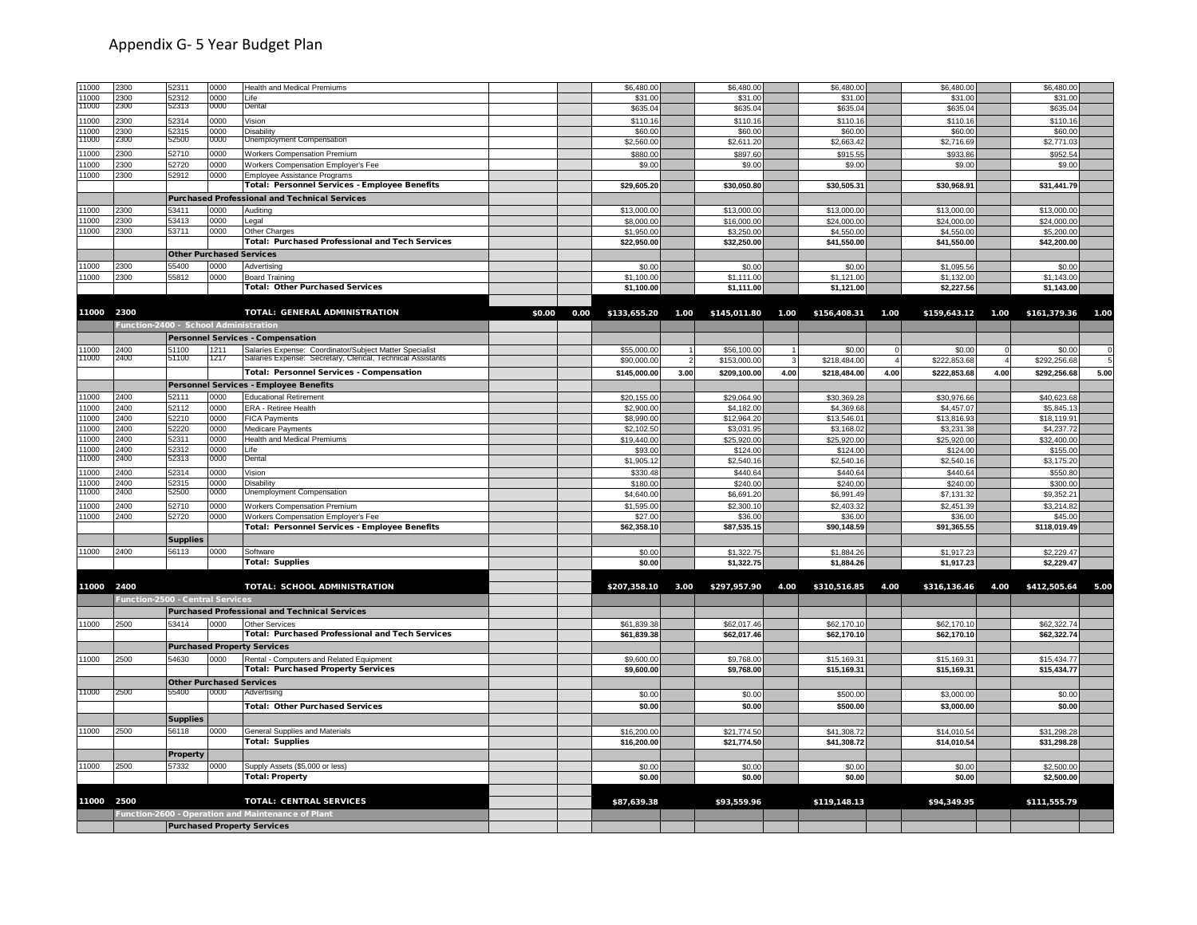| 11000          | 2300                                  | 52311                                    | 0000         | Health and Medical Premiums                                                                                            |        |      | \$6,480.0    |      | \$6,480.00        |      | \$6,480.00        |      | \$6,480.00   |      | \$6,480.00                       |      |
|----------------|---------------------------------------|------------------------------------------|--------------|------------------------------------------------------------------------------------------------------------------------|--------|------|--------------|------|-------------------|------|-------------------|------|--------------|------|----------------------------------|------|
| 11000          | 2300                                  | 52312                                    | noon         | Life                                                                                                                   |        |      | \$31.0       |      | \$31.00           |      | \$31.00           |      | \$31.00      |      | \$31.00                          |      |
| 11000          | 2300                                  | 52313                                    | 0000         | Dental                                                                                                                 |        |      | \$635.04     |      | \$635.04          |      | \$635.04          |      | \$635.04     |      | \$635.04                         |      |
| 11000          | 2300                                  | 52314                                    | 0000         | Vision                                                                                                                 |        |      | \$110.16     |      | \$110.16          |      | \$110.16          |      | \$110.16     |      | \$110.16                         |      |
| 11000          | 2300                                  | 52315                                    | 0000         | Disability                                                                                                             |        |      | \$60.00      |      | \$60.00           |      | \$60.00           |      | \$60.00      |      | \$60.00                          |      |
| 1000           | 2300                                  | 52500                                    | 0000         | Unemployment Compensation                                                                                              |        |      | \$2,560.00   |      | \$2,611.20        |      | \$2,663.42        |      | \$2,716.69   |      | \$2,771.03                       |      |
| 11000          | 2300                                  | 52710                                    | 0000         | <b>Workers Compensation Premium</b>                                                                                    |        |      | \$880.00     |      | \$897.60          |      | \$915.55          |      | \$933.86     |      | \$952.54                         |      |
| 11000          | 2300                                  | 52720                                    | 0000         | Workers Compensation Employer's Fee                                                                                    |        |      | \$9.00       |      | \$9.00            |      | \$9.00            |      | \$9.00       |      | \$9.00                           |      |
| 11000          | 2300                                  | 52912                                    | 0000         | Employee Assistance Programs                                                                                           |        |      |              |      |                   |      |                   |      |              |      |                                  |      |
|                |                                       |                                          |              | Total: Personnel Services - Employee Benefits                                                                          |        |      | \$29,605.20  |      | \$30,050.80       |      | \$30,505.31       |      | \$30,968.91  |      | \$31,441.79                      |      |
|                |                                       |                                          |              | <b>Purchased Professional and Technical Services</b>                                                                   |        |      |              |      |                   |      |                   |      |              |      |                                  |      |
| 1000           | :300                                  | 53411                                    | 0000         | Auditing                                                                                                               |        |      | \$13,000.00  |      | \$13,000.00       |      | \$13,000.00       |      | \$13,000.00  |      | \$13,000.00                      |      |
| 1000           | 2300                                  | 53413                                    | 0000         | Legal                                                                                                                  |        |      | \$8,000.00   |      | \$16,000.00       |      | \$24,000.00       |      | \$24,000.00  |      | \$24,000.00                      |      |
| 11000          | 2300                                  | 53711                                    | 0000         | Other Charges                                                                                                          |        |      | \$1,950.00   |      | \$3,250.00        |      | \$4,550.00        |      | \$4,550.00   |      | \$5,200.00                       |      |
|                |                                       |                                          |              | Total: Purchased Professional and Tech Services                                                                        |        |      | \$22,950.00  |      | \$32,250.00       |      | \$41,550.00       |      | \$41,550.00  |      | \$42,200.00                      |      |
|                |                                       | <b>Other Purchased Services</b>          |              |                                                                                                                        |        |      |              |      |                   |      |                   |      |              |      |                                  |      |
| 11000          | :300                                  | 55400                                    | 0000         | Advertising                                                                                                            |        |      | \$0.00       |      | \$0.00            |      | \$0.00            |      | \$1,095.56   |      | \$0.00                           |      |
| 11000          | 2300                                  | 55812                                    | 0000         | <b>Board Training</b>                                                                                                  |        |      | \$1,100.00   |      | \$1,111.00        |      | \$1,121.00        |      | \$1,132.00   |      | \$1,143.00                       |      |
|                |                                       |                                          |              | <b>Total: Other Purchased Services</b>                                                                                 |        |      | \$1,100.00   |      | \$1,111.00        |      | \$1,121.00        |      | \$2,227.56   |      | \$1,143.00                       |      |
|                |                                       |                                          |              |                                                                                                                        |        |      |              |      |                   |      |                   |      |              |      |                                  |      |
| 11000 2300     |                                       |                                          |              | TOTAL: GENERAL ADMINISTRATION                                                                                          | \$0.00 | 0.00 | \$133,655.20 |      | 1.00 \$145,011.80 |      | 1.00 \$156,408.31 | 1.00 |              |      | \$159,643.12  1.00  \$161,379.36 | 1.00 |
|                | Function-2400 - School Administration |                                          |              |                                                                                                                        |        |      |              |      |                   |      |                   |      |              |      |                                  |      |
|                |                                       |                                          |              |                                                                                                                        |        |      |              |      |                   |      |                   |      |              |      |                                  |      |
|                |                                       |                                          |              | <b>Personnel Services - Compensation</b>                                                                               |        |      |              |      |                   |      |                   |      |              |      |                                  |      |
| 11000<br>11000 | 2400<br>2400                          | 51100<br>51100                           | 1211<br>1217 | Salaries Expense: Coordinator/Subject Matter Specialist<br>Salaries Expense: Secretary, Clerical, Technical Assistants |        |      | \$55,000.00  |      | \$56,100.00       |      | \$0.00            |      | \$0.00       |      | \$0.00                           |      |
|                |                                       |                                          |              |                                                                                                                        |        |      | \$90,000.00  |      | \$153,000.00      |      | \$218,484.00      |      | \$222,853.68 |      | \$292,256.68                     |      |
|                |                                       |                                          |              | Total: Personnel Services - Compensation                                                                               |        |      | \$145,000.00 | 3.00 | \$209,100.00      | 4.00 | \$218,484.00      | 4.00 | \$222,853.68 | 4.00 | \$292,256.68                     | 5.00 |
|                |                                       |                                          |              | Personnel Services - Employee Benefits                                                                                 |        |      |              |      |                   |      |                   |      |              |      |                                  |      |
| 11000          | 2400                                  | 52111                                    | 0000         | <b>Educational Retirement</b>                                                                                          |        |      | \$20,155.00  |      | \$29,064.90       |      | \$30,369.28       |      | \$30,976.66  |      | \$40,623.68                      |      |
| 11000          | 2400                                  | 52112                                    | 0000         | ERA - Retiree Health                                                                                                   |        |      | \$2,900.00   |      | \$4,182.00        |      | \$4,369.68        |      | \$4,457.07   |      | \$5,845.13                       |      |
| 11000          | 2400                                  | 52210                                    | 0000         | <b>FICA Payments</b>                                                                                                   |        |      | \$8,990.00   |      | \$12,964.20       |      | \$13,546.01       |      | \$13,816.93  |      | \$18,119.91                      |      |
| 11000          | 2400                                  | 52220                                    | 0000         | Medicare Payments                                                                                                      |        |      | \$2,102.50   |      | \$3,031.9         |      | \$3,168.02        |      | \$3,231.38   |      | \$4,237.72                       |      |
| 11000          | 2400                                  | 52311                                    | 0000         | Health and Medical Premiums                                                                                            |        |      | \$19,440.00  |      | \$25,920.00       |      | \$25,920.00       |      | \$25,920.00  |      | \$32,400.00                      |      |
| 1000<br>11000  | 2400<br>2400                          | 52312<br>52313                           | 0000<br>0000 | Life<br>Dental                                                                                                         |        |      | \$93.0       |      | \$124.00          |      | \$124.0           |      | \$124.0      |      | \$155.00                         |      |
|                |                                       |                                          |              |                                                                                                                        |        |      | \$1,905.12   |      | \$2,540.16        |      | \$2,540.16        |      | \$2,540.16   |      | \$3,175.20                       |      |
| 1000           | 2400                                  | 52314                                    | 0000         | Vision                                                                                                                 |        |      | \$330.48     |      | \$440.64          |      | \$440.64          |      | \$440.64     |      | \$550.80                         |      |
| 11000<br>11000 | 2400<br>2400                          | 52315<br>52500                           | 0000<br>0000 | Disability                                                                                                             |        |      | \$180.00     |      | \$240.00          |      | \$240.00          |      | \$240.00     |      | \$300.00                         |      |
|                |                                       |                                          |              | Unemployment Compensation                                                                                              |        |      | \$4,640.00   |      | \$6,691.20        |      | \$6,991.49        |      | \$7,131.32   |      | \$9,352.2                        |      |
| 11000          | 2400                                  | 52710                                    | 0000         | Workers Compensation Premium                                                                                           |        |      | \$1,595.00   |      | \$2,300.1         |      | \$2,403.32        |      | \$2,451.39   |      | \$3,214.82                       |      |
| 11000          | 2400                                  | 52720                                    | 0000         | Workers Compensation Employer's Fee                                                                                    |        |      | \$27.00      |      | \$36.00           |      | \$36.00           |      | \$36.00      |      | \$45.00                          |      |
|                |                                       |                                          |              | Total: Personnel Services - Employee Benefits                                                                          |        |      | \$62,358.10  |      | \$87,535.15       |      | \$90,148.59       |      | \$91,365.55  |      | \$118,019.49                     |      |
|                |                                       | <b>Supplies</b>                          |              |                                                                                                                        |        |      |              |      |                   |      |                   |      |              |      |                                  |      |
| 11000          | 2400                                  | 56113                                    | 0000         | Software                                                                                                               |        |      | \$0.0        |      | \$1,322.79        |      | \$1,884.26        |      | \$1,917.2    |      | \$2,229.47                       |      |
|                |                                       |                                          |              | <b>Total: Supplies</b>                                                                                                 |        |      | \$0.00       |      | \$1,322.75        |      | \$1,884.26        |      | \$1,917.23   |      | \$2,229.47                       |      |
|                |                                       |                                          |              |                                                                                                                        |        |      |              |      |                   |      |                   |      |              |      |                                  |      |
| 11000 2400     |                                       |                                          |              | TOTAL: SCHOOL ADMINISTRATION                                                                                           |        |      | \$207,358.10 | 3.00 | \$297,957.90      | 4.00 | \$310,516.85      | 4.00 | \$316,136.46 | 4.00 | \$412,505.64                     | 5.00 |
|                | Function-2500 - Central Services      |                                          |              |                                                                                                                        |        |      |              |      |                   |      |                   |      |              |      |                                  |      |
|                |                                       |                                          |              | <b>Purchased Professional and Technical Services</b>                                                                   |        |      |              |      |                   |      |                   |      |              |      |                                  |      |
| 11000          | 2500                                  | 53414                                    | 0000         | <b>Other Services</b>                                                                                                  |        |      | \$61,839.38  |      | \$62,017.46       |      | \$62,170.10       |      | \$62,170.10  |      | \$62,322.74                      |      |
|                |                                       |                                          |              | <b>Total: Purchased Professional and Tech Services</b>                                                                 |        |      | \$61,839.38  |      | \$62,017.46       |      | \$62,170.10       |      | \$62,170.10  |      | \$62.322.74                      |      |
|                |                                       |                                          |              | <b>Purchased Property Services</b>                                                                                     |        |      |              |      |                   |      |                   |      |              |      |                                  |      |
| 11000          | 2500                                  | 54630                                    | 0000         |                                                                                                                        |        |      | \$9,600.00   |      | \$9,768.00        |      | \$15,169.31       |      | \$15,169.31  |      | \$15,434.77                      |      |
|                |                                       |                                          |              | Rental - Computers and Related Equipment<br><b>Total: Purchased Property Services</b>                                  |        |      | \$9,600.00   |      | \$9,768.00        |      | \$15,169.31       |      | \$15,169.31  |      | \$15,434.77                      |      |
|                |                                       |                                          |              |                                                                                                                        |        |      |              |      |                   |      |                   |      |              |      |                                  |      |
| 11000          | 2500                                  | <b>Other Purchased Services</b><br>55400 |              |                                                                                                                        |        |      |              |      |                   |      |                   |      |              |      |                                  |      |
|                |                                       |                                          | 0000         | Advertising                                                                                                            |        |      | \$0.00       |      | \$0.00            |      | \$500.00          |      | \$3,000.00   |      | \$0.00                           |      |
|                |                                       |                                          |              | <b>Total: Other Purchased Services</b>                                                                                 |        |      | \$0.00       |      | \$0.00            |      | \$500.00          |      | \$3,000.00   |      | \$0.00                           |      |
|                |                                       | <b>Supplies</b>                          |              |                                                                                                                        |        |      |              |      |                   |      |                   |      |              |      |                                  |      |
| 11000          | 2500                                  | 56118                                    | 0000         | General Supplies and Materials                                                                                         |        |      | \$16.200.0   |      | \$21.774.5        |      | \$41,308.72       |      | \$14,010.54  |      | \$31.298.2                       |      |
|                |                                       |                                          |              | <b>Total: Supplies</b>                                                                                                 |        |      | \$16,200.00  |      | \$21,774.50       |      | \$41,308.72       |      | \$14,010.54  |      | \$31,298.28                      |      |
|                |                                       | Property                                 |              |                                                                                                                        |        |      |              |      |                   |      |                   |      |              |      |                                  |      |
| 11000          | 2500                                  | 57332                                    | 0000         | Supply Assets (\$5,000 or less)                                                                                        |        |      | \$0.00       |      | \$0.00            |      | \$0.00            |      | \$0.00       |      | \$2,500.00                       |      |
|                |                                       |                                          |              | <b>Total: Property</b>                                                                                                 |        |      | \$0.00       |      | \$0.00            |      | \$0.00            |      | \$0.00       |      | \$2,500.00                       |      |
|                |                                       |                                          |              |                                                                                                                        |        |      |              |      |                   |      |                   |      |              |      |                                  |      |
| 11000 2500     |                                       |                                          |              | <b>TOTAL: CENTRAL SERVICES</b>                                                                                         |        |      |              |      | \$93,559.96       |      | \$119,148.13      |      | \$94,349.95  |      |                                  |      |
|                |                                       |                                          |              |                                                                                                                        |        |      | \$87,639.38  |      |                   |      |                   |      |              |      | \$111,555.79                     |      |
|                |                                       |                                          |              | Function-2600 - Operation and Maintenance of Plant                                                                     |        |      |              |      |                   |      |                   |      |              |      |                                  |      |
|                |                                       |                                          |              | <b>Purchased Property Services</b>                                                                                     |        |      |              |      |                   |      |                   |      |              |      |                                  |      |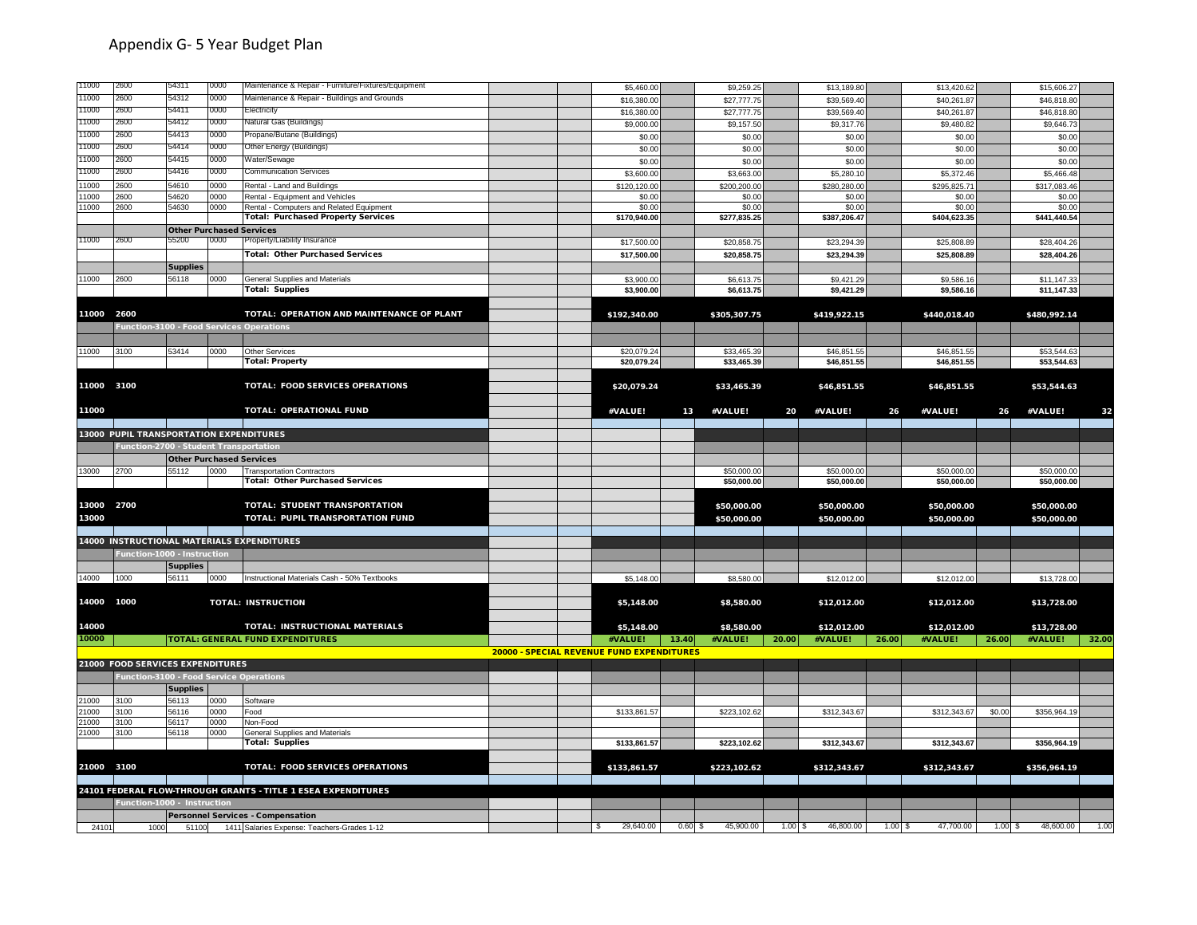| 11000      | 2600                                     | 54311                           | 0000 | Maintenance & Repair - Furniture/Fixtures/Equipment                         |                                           | \$5,460.00            |       | \$9,259.2    |           | \$13,189.80  |       | \$13,420.62  |        | \$15,606.27                |       |
|------------|------------------------------------------|---------------------------------|------|-----------------------------------------------------------------------------|-------------------------------------------|-----------------------|-------|--------------|-----------|--------------|-------|--------------|--------|----------------------------|-------|
| 11000      | 2600                                     | 54312                           | 0000 | Maintenance & Repair - Buildings and Grounds                                |                                           | \$16,380.00           |       | \$27,777.75  |           | \$39,569.40  |       | \$40,261.87  |        | \$46,818.80                |       |
| 11000      | 2600                                     | 54411                           | 0000 | Electricity                                                                 |                                           | \$16,380.00           |       | \$27,777.7   |           | \$39,569.40  |       | \$40,261.8   |        | \$46,818.8                 |       |
| 11000      | 2600                                     | 54412                           | 0000 | Natural Gas (Buildings)                                                     |                                           | \$9,000.00            |       | \$9,157.50   |           | \$9,317.76   |       | \$9,480.82   |        | \$9,646.73                 |       |
| 11000      | 2600                                     | 54413                           | 0000 | Propane/Butane (Buildings)                                                  |                                           | \$0.00                |       | \$0.00       |           | \$0.00       |       | \$0.00       |        | \$0.00                     |       |
| 11000      | 2600                                     | 54414                           | 0000 | Other Energy (Buildings)                                                    |                                           | \$0.00                |       | \$0.00       |           | \$0.00       |       | \$0.00       |        | \$0.00                     |       |
| 11000      | 2600                                     | 54415                           | 0000 | Water/Sewage                                                                |                                           | \$0.00                |       | \$0.00       |           | \$0.00       |       | \$0.00       |        | \$0.00                     |       |
| 11000      | 2600                                     | 54416                           | 0000 | <b>Communication Services</b>                                               |                                           | \$3,600.00            |       | \$3,663.00   |           | \$5,280.10   |       | \$5,372.46   |        | \$5,466.48                 |       |
| 11000      | 2600                                     | 54610                           | 0000 | Rental - Land and Buildings                                                 |                                           | \$120,120.00          |       | \$200,200.00 |           | \$280,280.00 |       | \$295,825.71 |        | \$317,083.46               |       |
| 11000      | 2600                                     | 54620                           | 0000 | Rental - Equipment and Vehicles                                             |                                           | \$0.00                |       | \$0.00       |           | \$0.00       |       | \$0.00       |        | \$0.00                     |       |
| 11000      | 2600                                     | 54630                           | 0000 | Rental - Computers and Related Equipment                                    |                                           | \$0.00                |       | \$0.00       |           | \$0.00       |       | \$0.00       |        | \$0.00                     |       |
|            |                                          |                                 |      | <b>Total: Purchased Property Services</b>                                   |                                           | \$170,940.00          |       | \$277,835.25 |           | \$387,206.47 |       | \$404,623.35 |        | \$441,440.54               |       |
|            |                                          | <b>Other Purchased Services</b> |      |                                                                             |                                           |                       |       |              |           |              |       |              |        |                            |       |
| 11000      | 2600                                     | 55200                           | 0000 | Property/Liability Insurance                                                |                                           | \$17,500.00           |       | \$20,858.75  |           | \$23,294.39  |       | \$25,808.89  |        | \$28,404.26                |       |
|            |                                          |                                 |      | <b>Total: Other Purchased Services</b>                                      |                                           | \$17,500.00           |       | \$20,858.75  |           | \$23,294.39  |       | \$25,808.89  |        | \$28,404.26                |       |
|            |                                          | <b>Supplies</b>                 |      |                                                                             |                                           |                       |       |              |           |              |       |              |        |                            |       |
| 11000      | 2600                                     | 56118                           | 0000 | General Supplies and Materials                                              |                                           | \$3,900.00            |       | \$6,613.75   |           | \$9,421.29   |       | \$9,586.1    |        | \$11,147.33                |       |
|            |                                          |                                 |      | <b>Total: Supplies</b>                                                      |                                           | \$3,900.00            |       | \$6,613.75   |           | \$9,421.29   |       | \$9,586.16   |        | \$11,147.33                |       |
|            |                                          |                                 |      |                                                                             |                                           |                       |       |              |           |              |       |              |        |                            |       |
| 11000 2600 |                                          |                                 |      | TOTAL: OPERATION AND MAINTENANCE OF PLANT                                   |                                           | \$192,340.00          |       | \$305,307.75 |           | \$419,922.15 |       | \$440,018.40 |        | \$480,992.14               |       |
|            | Function-3100 - Food Services Operations |                                 |      |                                                                             |                                           |                       |       |              |           |              |       |              |        |                            |       |
|            |                                          |                                 |      |                                                                             |                                           |                       |       |              |           |              |       |              |        |                            |       |
| 11000      | 3100                                     | 53414                           | 0000 | Other Services                                                              |                                           | \$20,079.24           |       | \$33,465.39  |           | \$46,851.55  |       | \$46,851.55  |        | \$53,544.63                |       |
|            |                                          |                                 |      | <b>Total: Property</b>                                                      |                                           | \$20,079.24           |       | \$33,465.39  |           | \$46,851.55  |       | \$46,851.55  |        | \$53,544.63                |       |
|            |                                          |                                 |      |                                                                             |                                           |                       |       |              |           |              |       |              |        |                            |       |
| 11000 3100 |                                          |                                 |      | <b>TOTAL: FOOD SERVICES OPERATIONS</b>                                      |                                           | \$20,079.24           |       | \$33,465.39  |           | \$46,851.55  |       | \$46,851.55  |        | \$53,544.63                |       |
|            |                                          |                                 |      |                                                                             |                                           |                       |       |              |           |              |       |              |        |                            |       |
| 11000      |                                          |                                 |      | TOTAL: OPERATIONAL FUND                                                     |                                           | #VALUE!               | 13    | #VALUE!      | 20        | #VALUE!      | 26    | #VALUE!      | 26     | #VALUE!                    | 32    |
|            |                                          |                                 |      |                                                                             |                                           |                       |       |              |           |              |       |              |        |                            |       |
|            | 13000 PUPIL TRANSPORTATION EXPENDITURES  |                                 |      |                                                                             |                                           |                       |       |              |           |              |       |              |        |                            |       |
|            | Function-2700 - Student Transportation   |                                 |      |                                                                             |                                           |                       |       |              |           |              |       |              |        |                            |       |
|            |                                          | <b>Other Purchased Services</b> |      |                                                                             |                                           |                       |       |              |           |              |       |              |        |                            |       |
| 13000      | 2700                                     | 55112                           | 0000 | <b>Transportation Contractors</b><br><b>Total: Other Purchased Services</b> |                                           |                       |       | \$50,000.00  |           | \$50,000.00  |       | \$50,000.00  |        | \$50,000.00<br>\$50,000.00 |       |
|            |                                          |                                 |      |                                                                             |                                           |                       |       | \$50,000.00  |           | \$50,000.00  |       | \$50,000.00  |        |                            |       |
| 13000 2700 |                                          |                                 |      | TOTAL: STUDENT TRANSPORTATION                                               |                                           |                       |       |              |           |              |       |              |        |                            |       |
| 13000      |                                          |                                 |      | TOTAL: PUPIL TRANSPORTATION FUND                                            |                                           |                       |       | \$50,000.00  |           | \$50,000.00  |       | \$50,000.00  |        | \$50,000.00                |       |
|            |                                          |                                 |      |                                                                             |                                           |                       |       | \$50,000.00  |           | \$50,000.00  |       | \$50,000.00  |        | \$50,000.00                |       |
|            |                                          |                                 |      | 14000 INSTRUCTIONAL MATERIALS EXPENDITURES                                  |                                           |                       |       |              |           |              |       |              |        |                            |       |
|            |                                          |                                 |      |                                                                             |                                           |                       |       |              |           |              |       |              |        |                            |       |
|            | Function-1000 - Instruction              | <b>Supplies</b>                 |      |                                                                             |                                           |                       |       |              |           |              |       |              |        |                            |       |
| 14000      | 1000                                     | 56111                           | 0000 | Instructional Materials Cash - 50% Textbooks                                |                                           | \$5,148.00            |       | \$8,580.00   |           | \$12,012.00  |       | \$12,012.00  |        | \$13,728.00                |       |
|            |                                          |                                 |      |                                                                             |                                           |                       |       |              |           |              |       |              |        |                            |       |
| 14000 1000 |                                          |                                 |      | <b>TOTAL: INSTRUCTION</b>                                                   |                                           | \$5,148.00            |       | \$8,580.00   |           | \$12,012.00  |       | \$12,012.00  |        | \$13,728.00                |       |
|            |                                          |                                 |      |                                                                             |                                           |                       |       |              |           |              |       |              |        |                            |       |
| 14000      |                                          |                                 |      | TOTAL: INSTRUCTIONAL MATERIALS                                              |                                           | \$5,148.00            |       | \$8,580.00   |           | \$12,012.00  |       | \$12,012.00  |        | \$13,728.00                |       |
| 10000      |                                          |                                 |      | <b>TOTAL: GENERAL FUND EXPENDITURES</b>                                     |                                           | #VALUE!               | 13.40 | #VALUE!      | 20.00     | #VALUE!      | 26.00 | #VALUE!      | 26.00  | #VALUE!                    | 32.00 |
|            |                                          |                                 |      |                                                                             | 20000 - SPECIAL REVENUE FUND EXPENDITURES |                       |       |              |           |              |       |              |        |                            |       |
|            | 21000 FOOD SERVICES EXPENDITURES         |                                 |      |                                                                             |                                           |                       |       |              |           |              |       |              |        |                            |       |
|            | Function-3100 - Food Service Operations  |                                 |      |                                                                             |                                           |                       |       |              |           |              |       |              |        |                            |       |
|            |                                          |                                 |      |                                                                             |                                           |                       |       |              |           |              |       |              |        |                            |       |
| 21000      |                                          | <b>Supplies</b><br>56113        | 0000 |                                                                             |                                           |                       |       |              |           |              |       |              |        |                            |       |
| 21000      | 3100<br>3100                             | 56116                           | 0000 | Software<br>Food                                                            |                                           | \$133,861.57          |       | \$223,102.62 |           | \$312,343.67 |       | \$312,343.67 | \$0.00 | \$356,964.19               |       |
| 21000      | 3100                                     | 56117                           | 0000 | Non-Food                                                                    |                                           |                       |       |              |           |              |       |              |        |                            |       |
| 21000      | 3100                                     | 56118                           | 0000 | <b>General Supplies and Materials</b>                                       |                                           |                       |       |              |           |              |       |              |        |                            |       |
|            |                                          |                                 |      | <b>Total: Supplies</b>                                                      |                                           | \$133,861.57          |       | \$223,102.62 |           | \$312,343.67 |       | \$312,343.67 |        | \$356,964.19               |       |
|            |                                          |                                 |      |                                                                             |                                           |                       |       |              |           |              |       |              |        |                            |       |
| 21000 3100 |                                          |                                 |      | TOTAL: FOOD SERVICES OPERATIONS                                             |                                           | \$133,861.57          |       | \$223,102.62 |           | \$312,343.67 |       | \$312,343.67 |        | \$356,964.19               |       |
|            |                                          |                                 |      |                                                                             |                                           |                       |       |              |           |              |       |              |        |                            |       |
|            |                                          |                                 |      | 24101 FEDERAL FLOW-THROUGH GRANTS - TITLE 1 ESEA EXPENDITURES               |                                           |                       |       |              |           |              |       |              |        |                            |       |
|            | Function-1000 - Instruction              |                                 |      |                                                                             |                                           |                       |       |              |           |              |       |              |        |                            |       |
|            |                                          |                                 |      | <b>Personnel Services - Compensation</b>                                    |                                           |                       |       |              |           |              |       |              |        |                            |       |
| 24101      | 1000                                     |                                 |      | 51100 1411 Salaries Expense: Teachers-Grades 1-12                           |                                           | 29,640.00<br><b>S</b> | 0.60S | 45,900.00    | $1.00$ \$ | 46,800.00    | 1.00S | 47,700.00    | 1.00S  | 48,600.00                  | 1.00  |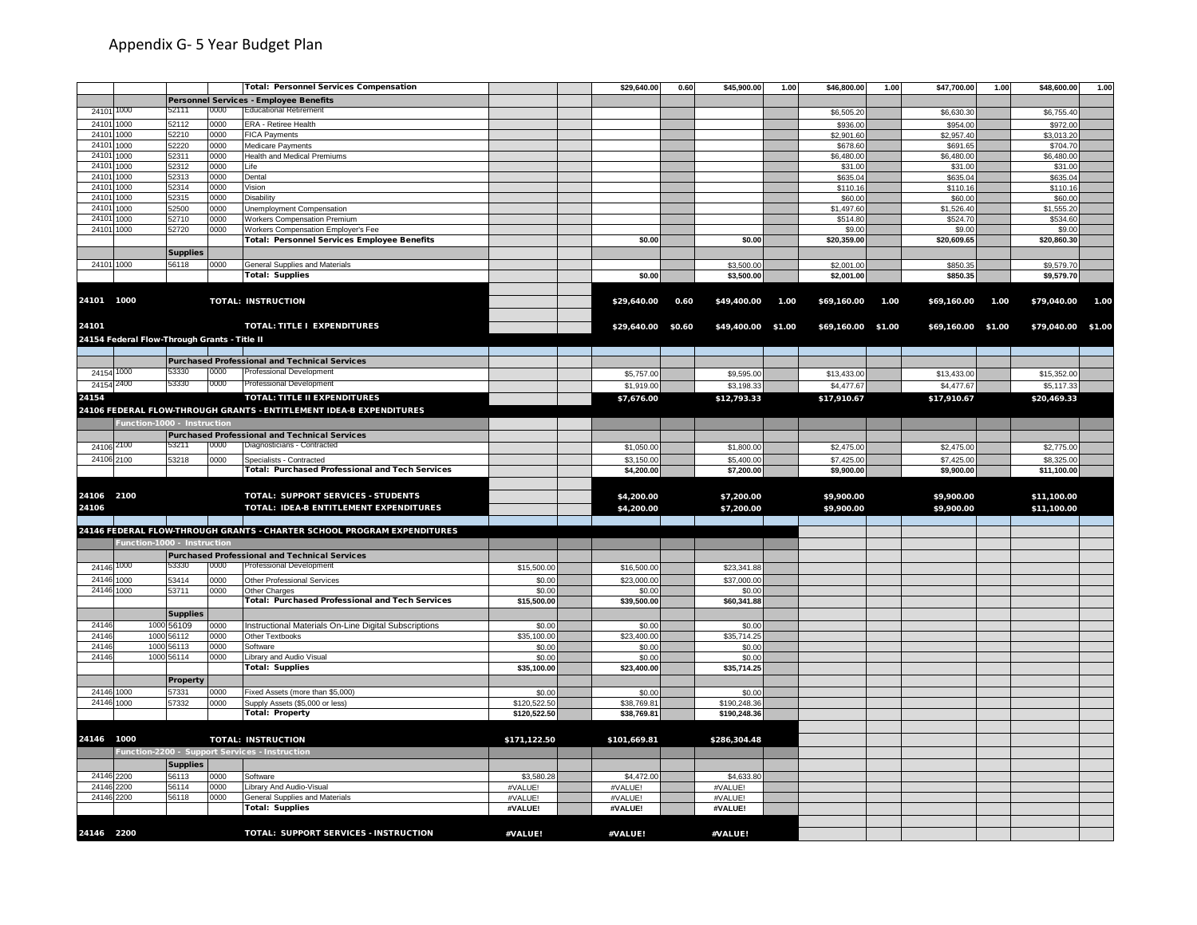|                          |                                              |                 |              | <b>Total: Personnel Services Compensation</b>                           |                    | \$29,640.00        | 0.60   | \$45,900.00        | 1.00 | \$46,800.00        | 1.00 | \$47,700.00        | 1.00 | \$48,600.00 | 1.00   |
|--------------------------|----------------------------------------------|-----------------|--------------|-------------------------------------------------------------------------|--------------------|--------------------|--------|--------------------|------|--------------------|------|--------------------|------|-------------|--------|
|                          |                                              |                 |              | Personnel Services - Employee Benefits                                  |                    |                    |        |                    |      |                    |      |                    |      |             |        |
| 24101 1000               |                                              | 52111           | 0000         | <b>Educational Retirement</b>                                           |                    |                    |        |                    |      | \$6,505.20         |      | \$6,630.30         |      | \$6,755.40  |        |
| 24101 1000               |                                              | 52112           | 0000         | ERA - Retiree Health                                                    |                    |                    |        |                    |      | \$936.00           |      | \$954.00           |      | \$972.00    |        |
| 24101 1000               |                                              | 52210           | 0000         | <b>FICA Payments</b>                                                    |                    |                    |        |                    |      | \$2,901.60         |      | \$2,957.4          |      | \$3,013.20  |        |
| 24101 1000               |                                              | 52220           | 0000         | Medicare Payments                                                       |                    |                    |        |                    |      | \$678.6            |      | \$691.6            |      | \$704.70    |        |
| 24101 1000               |                                              | 52311           | 0000         | Health and Medical Premiums                                             |                    |                    |        |                    |      | \$6,480.00         |      | \$6,480.00         |      | \$6,480.00  |        |
| 24101 1000               |                                              | 52312           | 0000         | Life                                                                    |                    |                    |        |                    |      | \$31.00            |      | \$31.00            |      | \$31.00     |        |
| 24101 1000               |                                              | 52313           | 0000         | Dental                                                                  |                    |                    |        |                    |      | \$635.04           |      | \$635.04           |      | \$635.04    |        |
| 24101 1000               |                                              | 52314           | 0000         | Vision                                                                  |                    |                    |        |                    |      | \$110.16           |      | \$110.16           |      | \$110.16    |        |
| 24101 1000               |                                              | 52315           | 0000         | Disability                                                              |                    |                    |        |                    |      | \$60.00            |      | \$60.00            |      | \$60.00     |        |
| 24101 1000               |                                              | 52500           | 0000         | Unemployment Compensation                                               |                    |                    |        |                    |      | \$1,497.60         |      | \$1,526.40         |      | \$1,555.20  |        |
| 24101 1000               |                                              | 52710           | 2000         | Workers Compensation Premium                                            |                    |                    |        |                    |      | \$514.80           |      | \$524.70           |      | \$534.60    |        |
|                          | 24101 1000                                   | 52720           | 0000         | Workers Compensation Employer's Fee                                     |                    |                    |        |                    |      | \$9.00             |      | \$9.00             |      | \$9.00      |        |
|                          |                                              |                 |              | Total: Personnel Services Employee Benefits                             |                    | \$0.00             |        | \$0.00             |      | \$20,359.00        |      | \$20,609.65        |      | \$20,860.30 |        |
|                          |                                              | <b>Supplies</b> |              |                                                                         |                    |                    |        |                    |      |                    |      |                    |      |             |        |
| 24101 1000               |                                              | 56118           | 0000         | General Supplies and Materials                                          |                    |                    |        | \$3,500.00         |      | \$2,001.00         |      | \$850.3            |      | \$9,579.70  |        |
|                          |                                              |                 |              | <b>Total: Supplies</b>                                                  |                    | \$0.00             |        | \$3,500.00         |      | \$2,001.00         |      | \$850.35           |      | \$9,579.70  |        |
|                          |                                              |                 |              |                                                                         |                    |                    |        |                    |      |                    |      |                    |      |             |        |
| 24101 1000               |                                              |                 |              | <b>TOTAL: INSTRUCTION</b>                                               |                    | \$29,640.00        | 0.60   | \$49,400.00        | 1.00 | \$69,160.00        | 1.00 | \$69,160.00        | 1.00 | \$79,040.00 | 1.00   |
|                          |                                              |                 |              |                                                                         |                    |                    |        |                    |      |                    |      |                    |      |             |        |
| 24101                    |                                              |                 |              | TOTAL: TITLE I EXPENDITURES                                             |                    | \$29,640.00        | \$0.60 | \$49,400.00 \$1.00 |      | \$69,160.00 \$1.00 |      | \$69,160.00 \$1.00 |      | \$79,040.00 | \$1.00 |
|                          | 24154 Federal Flow-Through Grants - Title II |                 |              |                                                                         |                    |                    |        |                    |      |                    |      |                    |      |             |        |
|                          |                                              |                 |              |                                                                         |                    |                    |        |                    |      |                    |      |                    |      |             |        |
|                          |                                              |                 |              | <b>Purchased Professional and Technical Services</b>                    |                    |                    |        |                    |      |                    |      |                    |      |             |        |
| 24154 1000               |                                              | 53330           | 0000         | <b>Professional Development</b>                                         |                    | \$5,757.00         |        | \$9,595.00         |      | \$13,433.00        |      | \$13,433.00        |      | \$15,352.00 |        |
| 24154 2400               |                                              | 53330           | 0000         | Professional Development                                                |                    | \$1,919.00         |        | \$3,198.33         |      | \$4,477.67         |      | \$4,477.67         |      | \$5,117.33  |        |
| 24154                    |                                              |                 |              | TOTAL: TITLE II EXPENDITURES                                            |                    |                    |        |                    |      |                    |      |                    |      |             |        |
|                          |                                              |                 |              |                                                                         |                    | \$7,676.00         |        | \$12,793.33        |      | \$17,910.67        |      | \$17,910.67        |      | \$20,469.33 |        |
|                          |                                              |                 |              | 24106 FEDERAL FLOW-THROUGH GRANTS - ENTITLEMENT IDEA-B EXPENDITURES     |                    |                    |        |                    |      |                    |      |                    |      |             |        |
|                          | Function-1000 - Instruction                  |                 |              |                                                                         |                    |                    |        |                    |      |                    |      |                    |      |             |        |
|                          |                                              |                 |              | <b>Purchased Professional and Technical Services</b>                    |                    |                    |        |                    |      |                    |      |                    |      |             |        |
| 24106 2100               |                                              | 53211           | 0000         | Diagnosticians - Contracted                                             |                    | \$1,050.00         |        | \$1,800.00         |      | \$2,475.00         |      | \$2,475.00         |      | \$2,775.00  |        |
| 24106 2100               |                                              | 53218           | 0000         | Specialists - Contracted                                                |                    | \$3,150.00         |        | \$5,400.00         |      | \$7,425.00         |      | \$7,425.00         |      | \$8,325.00  |        |
|                          |                                              |                 |              | <b>Total: Purchased Professional and Tech Services</b>                  |                    | \$4,200.00         |        | \$7,200.00         |      | \$9,900.00         |      | \$9,900.00         |      | \$11,100.00 |        |
|                          |                                              |                 |              |                                                                         |                    |                    |        |                    |      |                    |      |                    |      |             |        |
| 24106 2100               |                                              |                 |              | TOTAL: SUPPORT SERVICES - STUDENTS                                      |                    | \$4,200.00         |        | \$7,200.00         |      | \$9,900.00         |      | \$9,900.00         |      | \$11,100.00 |        |
| 24106                    |                                              |                 |              | TOTAL: IDEA-B ENTITLEMENT EXPENDITURES                                  |                    | \$4,200.00         |        | \$7,200.00         |      | \$9,900.00         |      | \$9,900.00         |      | \$11,100.00 |        |
|                          |                                              |                 |              |                                                                         |                    |                    |        |                    |      |                    |      |                    |      |             |        |
|                          |                                              |                 |              | 24146 FEDERAL FLOW-THROUGH GRANTS - CHARTER SCHOOL PROGRAM EXPENDITURES |                    |                    |        |                    |      |                    |      |                    |      |             |        |
|                          | Function-1000 - Instruction                  |                 |              |                                                                         |                    |                    |        |                    |      |                    |      |                    |      |             |        |
|                          |                                              |                 |              | <b>Purchased Professional and Technical Services</b>                    |                    |                    |        |                    |      |                    |      |                    |      |             |        |
| 24146 1000               |                                              | 53330           | 0000         | <b>Professional Development</b>                                         | \$15,500.00        | \$16,500.00        |        | \$23,341.88        |      |                    |      |                    |      |             |        |
| 24146 1000               |                                              | 53414           | 0000         | Other Professional Services                                             | \$0.0              | \$23,000.0         |        | \$37,000.0         |      |                    |      |                    |      |             |        |
| 24146 1000               |                                              | 53711           | 0000         | Other Charges                                                           | \$0.00             | \$0.00             |        | \$0.00             |      |                    |      |                    |      |             |        |
|                          |                                              |                 |              | Total: Purchased Professional and Tech Services                         | \$15,500.00        | \$39,500.00        |        | \$60,341.88        |      |                    |      |                    |      |             |        |
|                          |                                              | <b>Supplies</b> |              |                                                                         |                    |                    |        |                    |      |                    |      |                    |      |             |        |
| 24146                    |                                              | 1000 56109      | 0000         | Instructional Materials On-Line Digital Subscriptions                   | \$0.00             | \$0.00             |        | \$0.0              |      |                    |      |                    |      |             |        |
| 24146                    |                                              | 1000 56112      | 0000         | Other Textbooks                                                         | \$35,100.0         | \$23,400.00        |        | \$35,714.2         |      |                    |      |                    |      |             |        |
| 24146                    |                                              | 1000 56113      | 0000         | Software                                                                | \$0.00             | \$0.00             |        | \$0.00             |      |                    |      |                    |      |             |        |
| 24146                    |                                              | 1000 56114      | 0000         | Library and Audio Visual                                                | \$0.00             | \$0.00             |        | \$0.00             |      |                    |      |                    |      |             |        |
|                          |                                              |                 |              | <b>Total: Supplies</b>                                                  | \$35,100.00        | \$23,400.00        |        | \$35,714.25        |      |                    |      |                    |      |             |        |
|                          |                                              | Property        |              |                                                                         |                    |                    |        |                    |      |                    |      |                    |      |             |        |
| 24146 1000               |                                              | 57331           | 0000         | Fixed Assets (more than \$5,000)                                        | \$0.00             | \$0.00             |        | \$0.00             |      |                    |      |                    |      |             |        |
| 24146 1000               |                                              | 57332           | 0000         | Supply Assets (\$5,000 or less)                                         | \$120,522.50       | \$38,769.81        |        | \$190,248.36       |      |                    |      |                    |      |             |        |
|                          |                                              |                 |              | <b>Total: Property</b>                                                  | \$120,522.50       | \$38,769.81        |        | \$190,248.36       |      |                    |      |                    |      |             |        |
|                          |                                              |                 |              |                                                                         |                    |                    |        |                    |      |                    |      |                    |      |             |        |
| 24146 1000               |                                              |                 |              | <b>TOTAL: INSTRUCTION</b>                                               | \$171,122.50       | \$101,669.81       |        | \$286,304.48       |      |                    |      |                    |      |             |        |
|                          |                                              |                 |              |                                                                         |                    |                    |        |                    |      |                    |      |                    |      |             |        |
|                          |                                              |                 |              | Function-2200 - Support Services - Instruction                          |                    |                    |        |                    |      |                    |      |                    |      |             |        |
|                          |                                              | <b>Supplies</b> |              |                                                                         |                    |                    |        |                    |      |                    |      |                    |      |             |        |
| 24146 2200               |                                              | 56113<br>56114  | 0000         | Software                                                                | \$3,580.2          | \$4,472.0          |        | \$4,633.8          |      |                    |      |                    |      |             |        |
| 24146 2200<br>24146 2200 |                                              | 56118           | 0000<br>0000 | Library And Audio-Visual<br>General Supplies and Materials              | #VALUE!<br>#VALUE! | #VALUE!<br>#VALUE! |        | #VALUE!<br>#VALUE! |      |                    |      |                    |      |             |        |
|                          |                                              |                 |              | <b>Total: Supplies</b>                                                  | #VALUE!            | #VALUE!            |        | #VALUE!            |      |                    |      |                    |      |             |        |
|                          |                                              |                 |              |                                                                         |                    |                    |        |                    |      |                    |      |                    |      |             |        |
| 24146 2200               |                                              |                 |              | TOTAL: SUPPORT SERVICES - INSTRUCTION                                   | #VALUE!            | #VALUE!            |        | #VALUE!            |      |                    |      |                    |      |             |        |
|                          |                                              |                 |              |                                                                         |                    |                    |        |                    |      |                    |      |                    |      |             |        |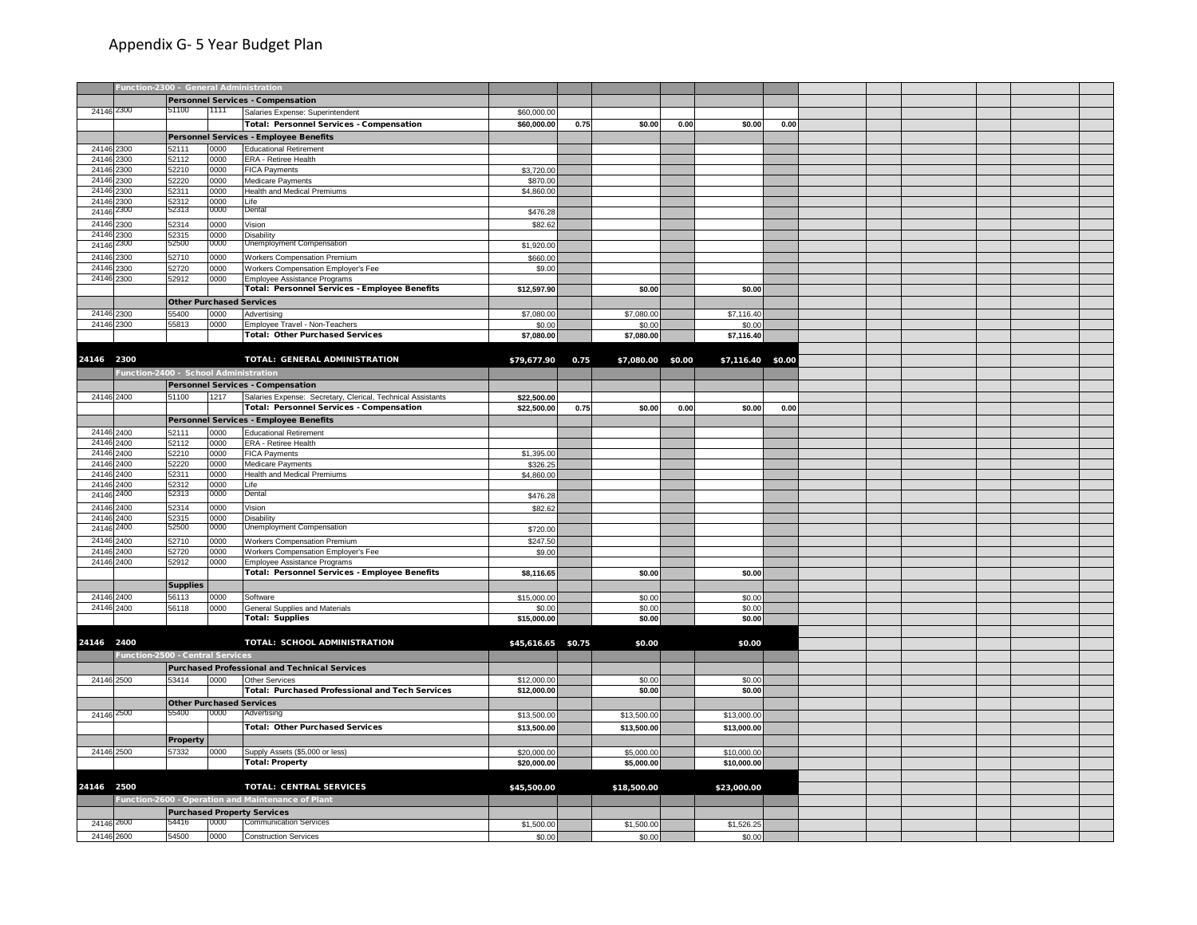|                          | Function-2300 - General Administration |                                 |      |                                                                               |                      |      |                   |      |                   |      |  |  |  |
|--------------------------|----------------------------------------|---------------------------------|------|-------------------------------------------------------------------------------|----------------------|------|-------------------|------|-------------------|------|--|--|--|
|                          |                                        |                                 |      | Personnel Services - Compensation                                             |                      |      |                   |      |                   |      |  |  |  |
| 24146 2300               |                                        | 51100                           | 1111 | Salaries Expense: Superintendent                                              | \$60,000.00          |      |                   |      |                   |      |  |  |  |
|                          |                                        |                                 |      | Total: Personnel Services - Compensation                                      | \$60,000.00          | 0.75 | \$0.00            | 0.00 | \$0.00            | 0.00 |  |  |  |
|                          |                                        |                                 |      | Personnel Services - Employee Benefits                                        |                      |      |                   |      |                   |      |  |  |  |
| 24146 2300               |                                        | 52111                           | 0000 | <b>Educational Retirement</b>                                                 |                      |      |                   |      |                   |      |  |  |  |
| 24146 2300               |                                        | 52112                           | 0000 | ERA - Retiree Health                                                          |                      |      |                   |      |                   |      |  |  |  |
| 24146 2300               |                                        | 52210                           | 0000 | <b>FICA Payments</b>                                                          | \$3,720.00           |      |                   |      |                   |      |  |  |  |
| 24146 2300               |                                        | 52220                           | 0000 | Medicare Payments                                                             | \$870.00             |      |                   |      |                   |      |  |  |  |
| 24146                    | 2300                                   | 52311                           | 0000 | Health and Medical Premiums                                                   | \$4,860.00           |      |                   |      |                   |      |  |  |  |
| 24146                    | 2300                                   | 52312                           | 0000 | Life                                                                          |                      |      |                   |      |                   |      |  |  |  |
| 24146                    | 2300                                   | 52313                           | 0000 | Dental                                                                        | \$476.28             |      |                   |      |                   |      |  |  |  |
| 24146 2300               |                                        | 52314                           | 0000 | Vision                                                                        | \$82.6               |      |                   |      |                   |      |  |  |  |
| 24146 2300               |                                        | 52315                           | 0000 | Disability                                                                    |                      |      |                   |      |                   |      |  |  |  |
| 24146 2300               |                                        | 52500                           | 0000 | Unemployment Compensation                                                     | \$1,920.00           |      |                   |      |                   |      |  |  |  |
| 24146 2300               |                                        | 52710                           | 0000 | Workers Compensation Premium                                                  | \$660.00             |      |                   |      |                   |      |  |  |  |
| 24146 2300               |                                        | 52720                           | 0000 | Workers Compensation Employer's Fee                                           | \$9.00               |      |                   |      |                   |      |  |  |  |
| 24146 2300               |                                        | 52912                           | 0000 | Employee Assistance Programs                                                  |                      |      |                   |      |                   |      |  |  |  |
|                          |                                        |                                 |      | Total: Personnel Services - Employee Benefits                                 | \$12,597.90          |      | \$0.00            |      | \$0.00            |      |  |  |  |
|                          |                                        | <b>Other Purchased Services</b> |      |                                                                               |                      |      |                   |      |                   |      |  |  |  |
| 24146 2300               |                                        | 55400                           | 0000 | Advertising                                                                   | \$7,080.00           |      | \$7,080.00        |      | \$7,116.40        |      |  |  |  |
| 24146 2300               |                                        | 55813                           | 0000 | Employee Travel - Non-Teachers                                                | \$0.00               |      | \$0.00            |      | \$0.00            |      |  |  |  |
|                          |                                        |                                 |      | <b>Total: Other Purchased Services</b>                                        | \$7,080.00           |      | \$7,080.00        |      | \$7,116.40        |      |  |  |  |
|                          |                                        |                                 |      |                                                                               |                      |      |                   |      |                   |      |  |  |  |
| 24146 2300               |                                        |                                 |      | TOTAL: GENERAL ADMINISTRATION                                                 | \$79,677.90          | 0.75 | \$7,080.00 \$0.00 |      | \$7,116.40 \$0.00 |      |  |  |  |
|                          | Function-2400 - School Administration  |                                 |      |                                                                               |                      |      |                   |      |                   |      |  |  |  |
|                          |                                        |                                 |      | Personnel Services - Compensation                                             |                      |      |                   |      |                   |      |  |  |  |
| 24146 2400               |                                        | 51100                           | 1217 | Salaries Expense: Secretary, Clerical, Technical Assistants                   | \$22,500.00          |      |                   |      |                   |      |  |  |  |
|                          |                                        |                                 |      | Total: Personnel Services - Compensation                                      | \$22,500.00          | 0.75 | \$0.00            | 0.00 | \$0.00            | 0.00 |  |  |  |
|                          |                                        |                                 |      | Personnel Services - Employee Benefits                                        |                      |      |                   |      |                   |      |  |  |  |
| 24146 2400               |                                        | 52111                           | 0000 | <b>Educational Retirement</b>                                                 |                      |      |                   |      |                   |      |  |  |  |
| 24146 2400               |                                        | 52112                           | 0000 | ERA - Retiree Health                                                          |                      |      |                   |      |                   |      |  |  |  |
| 24146 2400               |                                        | 52210                           | 0000 | FICA Payments                                                                 | \$1,395.0            |      |                   |      |                   |      |  |  |  |
| 24146 2400               |                                        | 52220                           | 0000 | Medicare Payments                                                             | \$326.2              |      |                   |      |                   |      |  |  |  |
| 24146 2400               |                                        | 52311                           | 0000 | Health and Medical Premiums                                                   | \$4,860.00           |      |                   |      |                   |      |  |  |  |
| 24146 2400               |                                        | 52312                           | 0000 | Life                                                                          |                      |      |                   |      |                   |      |  |  |  |
| 24146 2400               |                                        | 52313                           | 0000 | Dental                                                                        | \$476.2              |      |                   |      |                   |      |  |  |  |
| 24146                    | 2400                                   | 52314                           | 0000 | Vision                                                                        | \$82.62              |      |                   |      |                   |      |  |  |  |
| 24146                    | 2400                                   | 52315<br>52500                  | 0000 | Disability                                                                    |                      |      |                   |      |                   |      |  |  |  |
| 24146                    | 2400                                   |                                 | 0000 | Unemployment Compensation                                                     | \$720.00             |      |                   |      |                   |      |  |  |  |
| 24146                    | 2400                                   | 52710                           | 0000 | Workers Compensation Premium                                                  | \$247.5              |      |                   |      |                   |      |  |  |  |
| 24146                    | 2400                                   | 52720                           | 0000 | Workers Compensation Employer's Fee                                           | \$9.0                |      |                   |      |                   |      |  |  |  |
| 24146 2400               |                                        | 52912                           | 0000 | Employee Assistance Programs<br>Total: Personnel Services - Employee Benefits |                      |      |                   |      |                   |      |  |  |  |
|                          |                                        |                                 |      |                                                                               | \$8,116.65           |      | \$0.00            |      | \$0.00            |      |  |  |  |
|                          |                                        | <b>Supplies</b>                 |      |                                                                               |                      |      |                   |      |                   |      |  |  |  |
| 24146 2400<br>24146 2400 |                                        | 56113                           | 0000 | Software                                                                      | \$15,000.00          |      | \$0.00            |      | \$0.00            |      |  |  |  |
|                          |                                        | 56118                           | 0000 | General Supplies and Materials<br><b>Total: Supplies</b>                      | \$0.0<br>\$15,000.00 |      | \$0.00<br>\$0.00  |      | \$0.00<br>\$0.00  |      |  |  |  |
|                          |                                        |                                 |      |                                                                               |                      |      |                   |      |                   |      |  |  |  |
|                          |                                        |                                 |      |                                                                               |                      |      |                   |      |                   |      |  |  |  |
| 24146 2400               |                                        |                                 |      | TOTAL: SCHOOL ADMINISTRATION                                                  | \$45,616.65 \$0.75   |      | \$0.00            |      | \$0.00            |      |  |  |  |
|                          | Function-2500 - Central Services       |                                 |      |                                                                               |                      |      |                   |      |                   |      |  |  |  |
|                          |                                        |                                 |      | <b>Purchased Professional and Technical Services</b>                          |                      |      |                   |      |                   |      |  |  |  |
| 24146 2500               |                                        | 53414                           | 0000 | Other Services                                                                | \$12,000.0           |      | \$0.00            |      | \$0.00            |      |  |  |  |
|                          |                                        |                                 |      | <b>Total: Purchased Professional and Tech Services</b>                        | \$12,000.00          |      | \$0.00            |      | \$0.00            |      |  |  |  |
|                          |                                        | <b>Other Purchased Services</b> |      |                                                                               |                      |      |                   |      |                   |      |  |  |  |
| 24146 2500               |                                        | 55400                           | 0000 | Advertising                                                                   | \$13,500.00          |      | \$13,500.00       |      | \$13,000.00       |      |  |  |  |
|                          |                                        |                                 |      | <b>Total: Other Purchased Services</b>                                        | \$13,500.00          |      | \$13,500.00       |      | \$13,000.00       |      |  |  |  |
|                          |                                        | Property                        |      |                                                                               |                      |      |                   |      |                   |      |  |  |  |
| 24146 2500               |                                        | 57332                           | 0000 | Supply Assets (\$5,000 or less)                                               | \$20,000.00          |      | \$5,000.00        |      | \$10,000.00       |      |  |  |  |
|                          |                                        |                                 |      | <b>Total: Property</b>                                                        | \$20,000.00          |      | \$5,000.00        |      | \$10,000.00       |      |  |  |  |
|                          |                                        |                                 |      |                                                                               |                      |      |                   |      |                   |      |  |  |  |
| 24146 2500               |                                        |                                 |      | <b>TOTAL: CENTRAL SERVICES</b>                                                | \$45,500.00          |      | \$18,500.00       |      | \$23,000.00       |      |  |  |  |
|                          |                                        |                                 |      | Function-2600 - Operation and Maintenance of Plant                            |                      |      |                   |      |                   |      |  |  |  |
|                          |                                        |                                 |      |                                                                               |                      |      |                   |      |                   |      |  |  |  |
| 24146 2600               |                                        | 54416                           | 0000 | <b>Purchased Property Services</b><br><b>Communication Services</b>           |                      |      |                   |      |                   |      |  |  |  |
|                          |                                        |                                 |      |                                                                               | \$1,500.00           |      | \$1,500.00        |      | \$1,526.2         |      |  |  |  |
| 24146 2600               |                                        | 54500                           | 0000 | <b>Construction Services</b>                                                  | \$0.00               |      | \$0.00            |      | \$0.00            |      |  |  |  |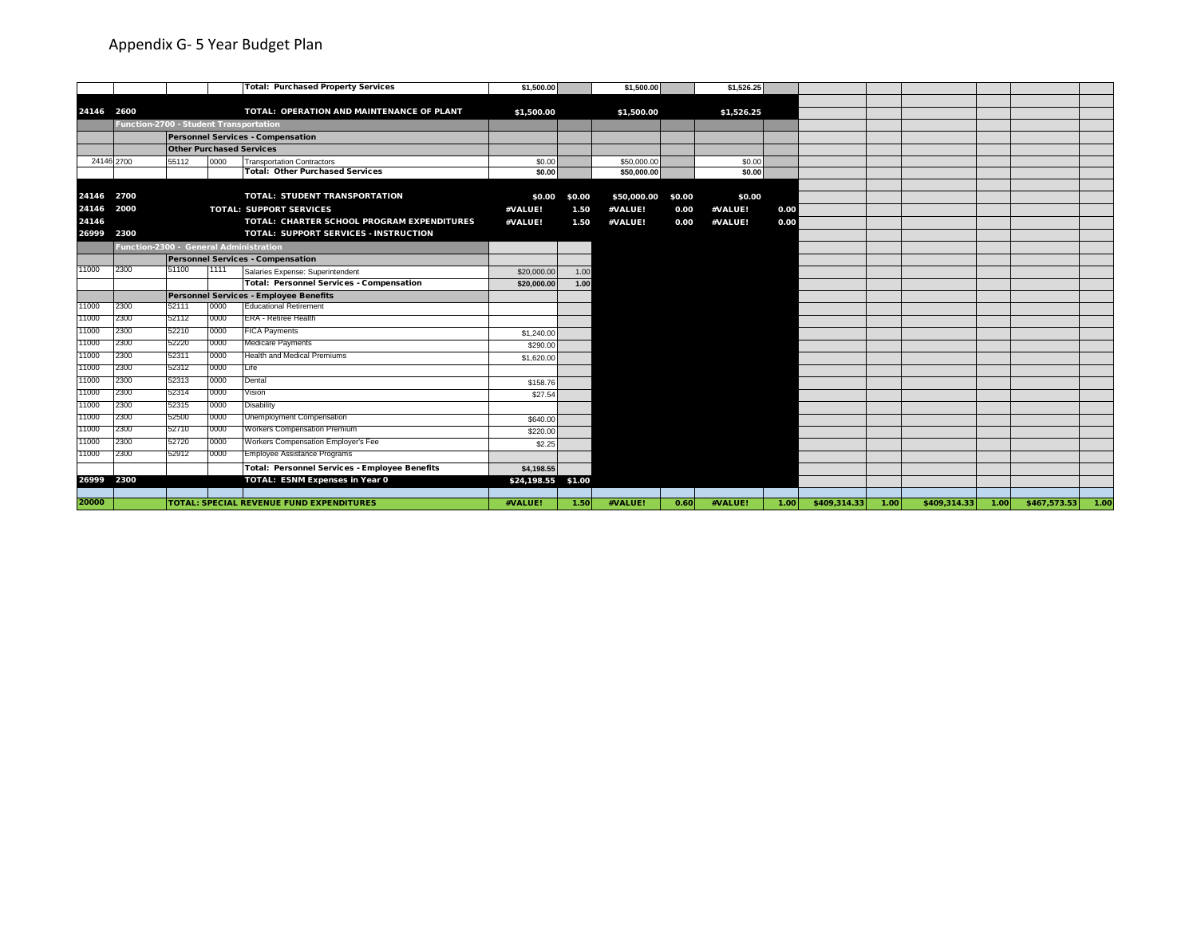|            |                                        |       |      | <b>Total: Purchased Property Services</b>            | \$1,500.00         |        | \$1,500.00  |        | \$1,526.25 |                   |              |      |               |                     |      |
|------------|----------------------------------------|-------|------|------------------------------------------------------|--------------------|--------|-------------|--------|------------|-------------------|--------------|------|---------------|---------------------|------|
|            |                                        |       |      |                                                      |                    |        |             |        |            |                   |              |      |               |                     |      |
| 24146 2600 |                                        |       |      | TOTAL: OPERATION AND MAINTENANCE OF PLANT            | \$1,500.00         |        | \$1,500.00  |        | \$1,526.25 |                   |              |      |               |                     |      |
|            | Function-2700 - Student Transportation |       |      |                                                      |                    |        |             |        |            |                   |              |      |               |                     |      |
|            |                                        |       |      | Personnel Services - Compensation                    |                    |        |             |        |            |                   |              |      |               |                     |      |
|            |                                        |       |      | <b>Other Purchased Services</b>                      |                    |        |             |        |            |                   |              |      |               |                     |      |
|            | 24146 2700                             | 55112 | 0000 | <b>Transportation Contractors</b>                    | \$0.00             |        | \$50,000.00 |        | \$0.00     |                   |              |      |               |                     |      |
|            |                                        |       |      | <b>Total: Other Purchased Services</b>               | \$0.00             |        | \$50,000.00 |        | \$0.00     |                   |              |      |               |                     |      |
|            |                                        |       |      |                                                      |                    |        |             |        |            |                   |              |      |               |                     |      |
| 24146      | 2700                                   |       |      | <b>TOTAL: STUDENT TRANSPORTATION</b>                 | \$0.00             | \$0.00 | \$50,000.00 | \$0.00 | \$0.00     |                   |              |      |               |                     |      |
| 24146      | 2000                                   |       |      | <b>TOTAL: SUPPORT SERVICES</b>                       | #VALUE!            | 1.50   | #VALUE!     | 0.00   | #VALUE!    | 0.00              |              |      |               |                     |      |
| 24146      |                                        |       |      | TOTAL: CHARTER SCHOOL PROGRAM EXPENDITURES           | #VALUE!            | 1.50   | #VALUE!     | 0.00   | #VALUE!    | 0.00              |              |      |               |                     |      |
| 26999 2300 |                                        |       |      | <b>TOTAL: SUPPORT SERVICES - INSTRUCTION</b>         |                    |        |             |        |            |                   |              |      |               |                     |      |
|            | Function-2300 - General Administration |       |      |                                                      |                    |        |             |        |            |                   |              |      |               |                     |      |
|            |                                        |       |      | Personnel Services - Compensation                    |                    |        |             |        |            |                   |              |      |               |                     |      |
| 11000      | 2300                                   | 51100 | 1111 | Salaries Expense: Superintendent                     | \$20,000.00        | 1.00   |             |        |            |                   |              |      |               |                     |      |
|            |                                        |       |      | <b>Total: Personnel Services - Compensation</b>      | \$20,000.00        | 1.00   |             |        |            |                   |              |      |               |                     |      |
|            |                                        |       |      | <b>Personnel Services - Employee Benefits</b>        |                    |        |             |        |            |                   |              |      |               |                     |      |
| 11000      | 2300                                   | 52111 | 0000 | <b>Educational Retirement</b>                        |                    |        |             |        |            |                   |              |      |               |                     |      |
| 11000      | 2300                                   | 52112 | 0000 | <b>ERA - Retiree Health</b>                          |                    |        |             |        |            |                   |              |      |               |                     |      |
| 11000      | 2300                                   | 52210 | 0000 | <b>FICA Payments</b>                                 | \$1,240.00         |        |             |        |            |                   |              |      |               |                     |      |
| 11000      | 2300                                   | 52220 | 0000 | Medicare Payments                                    | \$290.00           |        |             |        |            |                   |              |      |               |                     |      |
| 11000      | 2300                                   | 52311 | 0000 | Health and Medical Premiums                          | \$1,620.00         |        |             |        |            |                   |              |      |               |                     |      |
| 11000      | 2300                                   | 52312 | 0000 | Life                                                 |                    |        |             |        |            |                   |              |      |               |                     |      |
| 11000      | 2300                                   | 52313 | 0000 | Dental                                               | \$158.76           |        |             |        |            |                   |              |      |               |                     |      |
| 11000      | 2300                                   | 52314 | 0000 | Vision                                               | \$27.54            |        |             |        |            |                   |              |      |               |                     |      |
| 11000      | 2300                                   | 52315 | 0000 | Disability                                           |                    |        |             |        |            |                   |              |      |               |                     |      |
| 11000      | 2300                                   | 52500 | 0000 | Unemployment Compensation                            | \$640.00           |        |             |        |            |                   |              |      |               |                     |      |
| 11000      | 2300                                   | 52710 | 0000 | <b>Norkers Compensation Premium</b>                  | \$220.00           |        |             |        |            |                   |              |      |               |                     |      |
| 11000      | 2300                                   | 52720 | 0000 | <b>Norkers Compensation Employer's Fee</b>           | \$2.25             |        |             |        |            |                   |              |      |               |                     |      |
| 11000      | 2300                                   | 52912 | 0000 | <b>Employee Assistance Programs</b>                  |                    |        |             |        |            |                   |              |      |               |                     |      |
|            |                                        |       |      | <b>Total: Personnel Services - Employee Benefits</b> | \$4.198.55         |        |             |        |            |                   |              |      |               |                     |      |
| 26999 2300 |                                        |       |      | <b>TOTAL: ESNM Expenses in Year 0</b>                | \$24,198.55 \$1.00 |        |             |        |            |                   |              |      |               |                     |      |
|            |                                        |       |      |                                                      |                    |        |             |        |            |                   |              |      |               |                     |      |
| 20000      |                                        |       |      | <b>TOTAL: SPECIAL REVENUE FUND EXPENDITURES</b>      | #VALUE!            | 1.50   | #VALUE!     | 0.60   | #VALUE!    | 1.00 <sub>1</sub> | \$409,314.33 | 1.00 | \$409,314.33] | $1.00$ \$467,573.53 | 1.00 |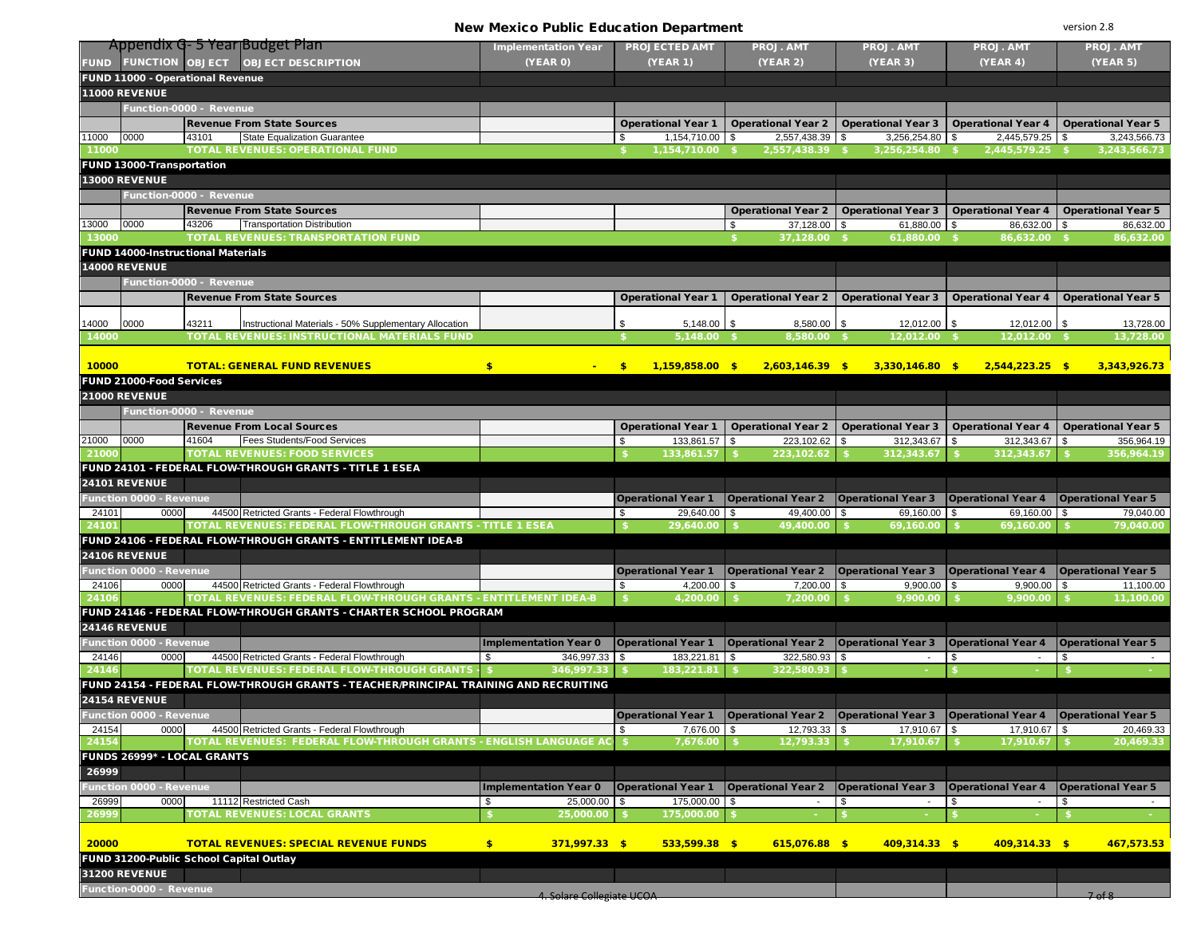New Mexico Public Education Department

version 2.8

|                      | Appendix G-5 Year Budget Plan             |                                                                                                                             | <b>Implementation Year</b>       |             | <b>PROJECTED AMT</b>                  |            | PROJ. AMT                                                                                              |          | PROJ. AMT                 |            | PROJ. AMT                 | <b>PROJ. AMT</b>              |
|----------------------|-------------------------------------------|-----------------------------------------------------------------------------------------------------------------------------|----------------------------------|-------------|---------------------------------------|------------|--------------------------------------------------------------------------------------------------------|----------|---------------------------|------------|---------------------------|-------------------------------|
| <b>FUND</b>          |                                           | FUNCTION OBJECT OBJECT DESCRIPTION                                                                                          | (YEAR 0)                         |             | <b>(YEAR 1)</b>                       |            | <b>(YEAR 2)</b>                                                                                        |          | (YEAR 3)                  |            | (YEAR 4)                  | (YEAR 5)                      |
|                      | FUND 11000 - Operational Revenue          |                                                                                                                             |                                  |             |                                       |            |                                                                                                        |          |                           |            |                           |                               |
| 11000 REVENUE        |                                           |                                                                                                                             |                                  |             |                                       |            |                                                                                                        |          |                           |            |                           |                               |
|                      | Function-0000 - Revenue                   |                                                                                                                             |                                  |             |                                       |            |                                                                                                        |          |                           |            |                           |                               |
|                      |                                           | <b>Revenue From State Sources</b>                                                                                           |                                  |             |                                       |            | Operational Year 1   Operational Year 2   Operational Year 3   Operational Year 4   Operational Year 5 |          |                           |            |                           |                               |
| 11000<br>0000        | 43101                                     | <b>State Equalization Guarantee</b>                                                                                         |                                  | \$          | 1,154,710.00 \$                       |            | 2,557,438.39 \$                                                                                        |          | $3,256,254.80$ \$         |            | 2,445,579.25 \$           | 3,243,566.73                  |
| 11000                |                                           | <b>TOTAL REVENUES: OPERATIONAL FUND</b>                                                                                     |                                  |             | 1,154,710.00 \$                       |            | 2,557,438.39 \$                                                                                        |          | 3,256,254.80 \$           |            | 2,445,579.25 \$           | 3,243,566.73                  |
|                      | FUND 13000-Transportation                 |                                                                                                                             |                                  |             |                                       |            |                                                                                                        |          |                           |            |                           |                               |
| <b>13000 REVENUE</b> |                                           |                                                                                                                             |                                  |             |                                       |            |                                                                                                        |          |                           |            |                           |                               |
|                      | Function-0000 - Revenue                   |                                                                                                                             |                                  |             |                                       |            |                                                                                                        |          |                           |            |                           |                               |
|                      |                                           | <b>Revenue From State Sources</b>                                                                                           |                                  |             |                                       |            | <b>Operational Year 2</b>                                                                              |          | <b>Operational Year 3</b> |            | <b>Operational Year 4</b> | <b>Operational Year 5</b>     |
| 13000 0000           | 43206                                     | <b>Transportation Distribution</b>                                                                                          |                                  |             |                                       | \$         | 37,128.00                                                                                              | <b>S</b> | 61,880.00                 | $\sqrt{3}$ | 86,632.00 \$              | 86,632.00                     |
| 13000                |                                           | <b>TOTAL REVENUES: TRANSPORTATION FUND</b>                                                                                  |                                  |             |                                       |            | 37,128.00 \$                                                                                           |          | 61,880.00                 |            | 86,632.00                 | 86,632.00                     |
|                      | <b>FUND 14000-Instructional Materials</b> |                                                                                                                             |                                  |             |                                       |            |                                                                                                        |          |                           |            |                           |                               |
| <b>14000 REVENUE</b> |                                           |                                                                                                                             |                                  |             |                                       |            |                                                                                                        |          |                           |            |                           |                               |
|                      | Function-0000 - Revenue                   |                                                                                                                             |                                  |             |                                       |            |                                                                                                        |          |                           |            |                           |                               |
|                      |                                           | <b>Revenue From State Sources</b>                                                                                           |                                  |             | <b>Operational Year 1</b>             |            | <b>Operational Year 2</b>                                                                              |          | <b>Operational Year 3</b> |            | <b>Operational Year 4</b> | <b>Operational Year 5</b>     |
| 14000<br>0000        | 43211                                     | Instructional Materials - 50% Supplementary Allocation                                                                      |                                  | \$          | $5,148.00$ \$                         |            | $8,580.00$ \$                                                                                          |          | 12,012.00 \$              |            | $12,012.00$ \$            | 13,728.00                     |
| 14000                |                                           | TOTAL REVENUES: INSTRUCTIONAL MATERIALS FUND                                                                                |                                  |             | 5.148.00 \$                           |            | 8,580.00 \$                                                                                            |          | 12.012.00 \$              |            | 12,012.00 \$              | 13,728.00                     |
|                      |                                           |                                                                                                                             |                                  |             |                                       |            |                                                                                                        |          |                           |            |                           |                               |
| 10000                |                                           | <b>TOTAL: GENERAL FUND REVENUES</b>                                                                                         | $\bullet$                        | $$^{\circ}$ | $1,159,858.00$ \$                     |            | $2,603,146.39$ \$                                                                                      |          | $3,330,146.80$ \$         |            | $2,544,223.25$ \$         | 3,343,926.73                  |
|                      | FUND 21000-Food Services                  |                                                                                                                             |                                  |             |                                       |            |                                                                                                        |          |                           |            |                           |                               |
| 21000 REVENUE        |                                           |                                                                                                                             |                                  |             |                                       |            |                                                                                                        |          |                           |            |                           |                               |
|                      | Function-0000 - Revenue                   |                                                                                                                             |                                  |             |                                       |            |                                                                                                        |          |                           |            |                           |                               |
|                      |                                           | <b>Revenue From Local Sources</b>                                                                                           |                                  |             | <b>Operational Year 1</b>             |            | <b>Operational Year 2</b>                                                                              |          | <b>Operational Year 3</b> |            | <b>Operational Year 4</b> | <b>Operational Year 5</b>     |
| 0000<br>21000        | 41604                                     | <b>Fees Students/Food Services</b>                                                                                          |                                  | \$          | 133,861.57                            | $\sqrt{3}$ | 223,102.62                                                                                             | \$       | $312,343.67$ \$           |            | 312,343.67 \$             | 356.964.19                    |
| 21000                |                                           | <b>TOTAL REVENUES: FOOD SERVICES</b>                                                                                        |                                  |             | 133,861.57                            |            | 223,102.62                                                                                             |          | 312,343.67                |            | 312,343.67                | 356,964.19                    |
|                      |                                           | FUND 24101 - FEDERAL FLOW-THROUGH GRANTS - TITLE 1 ESEA                                                                     |                                  |             |                                       |            |                                                                                                        |          |                           |            |                           |                               |
| 24101 REVENUE        |                                           |                                                                                                                             |                                  |             |                                       |            |                                                                                                        |          |                           |            |                           |                               |
|                      | unction 0000 - Revenue                    |                                                                                                                             |                                  |             | <b>Operational Year 1</b>             |            | <b>Operational Year 2</b>                                                                              |          | <b>Operational Year 3</b> |            | <b>Operational Year 4</b> | <b>Operational Year 5</b>     |
| 24101                | 0000                                      | 44500 Retricted Grants - Federal Flowthrough                                                                                |                                  | \$          | 29,640.00                             | \$         | 49,400.00                                                                                              | \$       | 69,160.00                 | <b>\$</b>  | 69,160.00 \$              | 79,040.00                     |
| 24101                |                                           | TOTAL REVENUES: FEDERAL FLOW-THROUGH GRANTS - TITLE 1 ESEA<br>FUND 24106 - FEDERAL FLOW-THROUGH GRANTS - ENTITLEMENT IDEA-B |                                  |             | 29,640.00                             |            | 49,400.00                                                                                              |          | 69,160.00                 |            | 69,160.00                 | 79,040.00                     |
| <b>24106 REVENUE</b> |                                           |                                                                                                                             |                                  |             |                                       |            |                                                                                                        |          |                           |            |                           |                               |
|                      | <b>Function 0000 - Revenue</b>            |                                                                                                                             |                                  |             |                                       |            |                                                                                                        |          | <b>Operational Year 3</b> |            | <b>Operational Year 4</b> | <b>Operational Year 5</b>     |
| 24106                | 0000                                      | 44500 Retricted Grants - Federal Flowthrough                                                                                |                                  | \$          | <b>Operational Year 1</b><br>4,200.00 | $\sqrt{3}$ | <b>Operational Year 2</b><br>7,200.00                                                                  | \$       | 9,900.00                  | <b>\$</b>  | $9,900.00$ \$             | 11,100.00                     |
| 24106                |                                           | TOTAL REVENUES: FEDERAL FLOW-THROUGH GRANTS - ENTITLEMENT IDEA-B                                                            |                                  |             | 4,200.00                              |            | 7,200.00                                                                                               |          | 9,900.00                  |            | 9,900.00                  | 11,100.00                     |
|                      |                                           | FUND 24146 - FEDERAL FLOW-THROUGH GRANTS - CHARTER SCHOOL PROGRAM                                                           |                                  |             |                                       |            |                                                                                                        |          |                           |            |                           |                               |
| 24146 REVENUE        |                                           |                                                                                                                             |                                  |             |                                       |            |                                                                                                        |          |                           |            |                           |                               |
|                      | unction 0000 - Revenue                    |                                                                                                                             | <b>Implementation Year 0</b>     |             | <b>Operational Year 1</b>             |            | <b>Operational Year 2</b>                                                                              |          | <b>Operational Year 3</b> |            | <b>Operational Year 4</b> | <b>Operational Year 5</b>     |
| 24146                | 0000                                      | 44500 Retricted Grants - Federal Flowthrough                                                                                | \$<br>346,997.33 \$              |             | 183,221.81                            | $\sqrt{3}$ | 322,580.93                                                                                             | \$       | $\overline{\phantom{a}}$  | \$         |                           | \$                            |
| 24146                |                                           | TOTAL REVENUES: FEDERAL FLOW-THROUGH GRANTS - \$                                                                            | 346,997.33                       |             | 183,221.81                            |            | 322,580.93                                                                                             |          |                           |            |                           |                               |
|                      |                                           | FUND 24154 - FEDERAL FLOW-THROUGH GRANTS - TEACHER/PRINCIPAL TRAINING AND RECRUITING                                        |                                  |             |                                       |            |                                                                                                        |          |                           |            |                           |                               |
| 24154 REVENUE        |                                           |                                                                                                                             |                                  |             |                                       |            |                                                                                                        |          |                           |            |                           |                               |
|                      | <b>Function 0000 - Revenue</b>            |                                                                                                                             |                                  |             | <b>Operational Year 1</b>             |            | <b>Operational Year 2</b>                                                                              |          | <b>Operational Year 3</b> |            | <b>Operational Year 4</b> | <b>Operational Year 5</b>     |
| 24154                | 0000                                      | 44500 Retricted Grants - Federal Flowthrough                                                                                |                                  | \$          | 7,676.00                              | \$         | 12,793.33                                                                                              | \$       | 17,910.67                 | $\sqrt{3}$ | 17,910.67 \$              | 20,469.33                     |
| 2415                 |                                           | TOTAL REVENUES:  FEDERAL FLOW-THROUGH GRANTS - ENGLISH LANGUAGE A                                                           |                                  |             | 7,676.00                              |            | 12,793.3                                                                                               |          | 17,910.67                 |            | 17,910.67                 | 20,469.33                     |
|                      | <b>FUNDS 26999* - LOCAL GRANTS</b>        |                                                                                                                             |                                  |             |                                       |            |                                                                                                        |          |                           |            |                           |                               |
| 26999                |                                           |                                                                                                                             |                                  |             |                                       |            |                                                                                                        |          |                           |            |                           |                               |
|                      | <b>Function 0000 - Revenue</b>            |                                                                                                                             | <b>Implementation Year 0</b>     |             | <b>Operational Year 1</b>             |            | <b>Operational Year 2</b>                                                                              |          | <b>Operational Year 3</b> |            | <b>Operational Year 4</b> | <b>Operational Year 5</b>     |
| 26999<br>26999       | 0000                                      | 11112 Restricted Cash<br>TOTAL REVENUES: LOCAL GRANTS                                                                       | 25,000.00 \$<br>\$<br>25,000.00  |             | 175,000.00<br>175,000.00              | \$         |                                                                                                        | S        | $\overline{\phantom{a}}$  | \$         |                           | \$                            |
|                      |                                           |                                                                                                                             |                                  |             |                                       |            |                                                                                                        |          |                           |            |                           |                               |
| 20000                |                                           | <b>TOTAL REVENUES: SPECIAL REVENUE FUNDS</b>                                                                                | \$<br>$371,997.33$ \$            |             | $533,599.38$ \$                       |            | $615,076.88$ \$                                                                                        |          | $409,314.33$ \$           |            | $409,314.33$ \$           | 467.573.53                    |
|                      | FUND 31200-Public School Capital Outlay   |                                                                                                                             |                                  |             |                                       |            |                                                                                                        |          |                           |            |                           |                               |
| <b>31200 REVENUE</b> |                                           |                                                                                                                             |                                  |             |                                       |            |                                                                                                        |          |                           |            |                           |                               |
|                      | Function-0000 - Revenue                   |                                                                                                                             |                                  |             |                                       |            |                                                                                                        |          |                           |            |                           |                               |
|                      |                                           |                                                                                                                             | <b>4. Solare Collegiate UCOA</b> |             |                                       |            |                                                                                                        |          |                           |            |                           | 7 <sub>0</sub> f <sub>8</sub> |